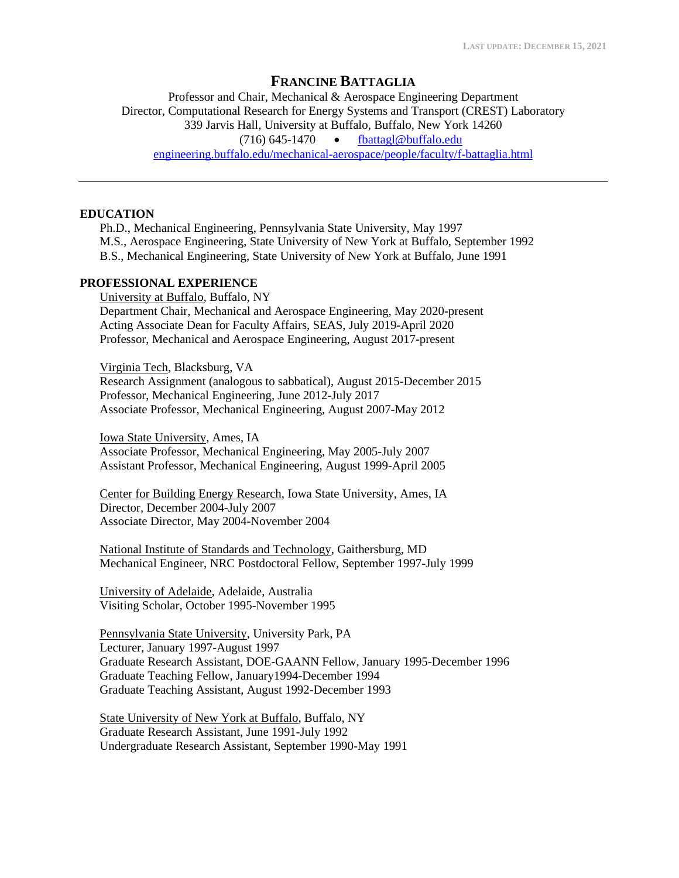# **FRANCINE BATTAGLIA**

Professor and Chair, Mechanical & Aerospace Engineering Department Director, Computational Research for Energy Systems and Transport (CREST) Laboratory 339 Jarvis Hall, University at Buffalo, Buffalo, New York 14260 (716) 645-1470 • [fbattagl@buffalo.edu](mailto:fbattagl@buffalo.edu) [engineering.buffalo.edu/mechanical-aerospace/people/faculty/f-battaglia.html](http://engineering.buffalo.edu/mechanical-aerospace/people/faculty/f-battaglia.html)

#### **EDUCATION**

Ph.D., Mechanical Engineering, Pennsylvania State University, May 1997 M.S., Aerospace Engineering, State University of New York at Buffalo, September 1992 B.S., Mechanical Engineering, State University of New York at Buffalo, June 1991

# **PROFESSIONAL EXPERIENCE**

University at Buffalo, Buffalo, NY Department Chair, Mechanical and Aerospace Engineering, May 2020-present Acting Associate Dean for Faculty Affairs, SEAS, July 2019-April 2020 Professor, Mechanical and Aerospace Engineering, August 2017-present

Virginia Tech, Blacksburg, VA Research Assignment (analogous to sabbatical), August 2015-December 2015 Professor, Mechanical Engineering, June 2012-July 2017 Associate Professor, Mechanical Engineering, August 2007-May 2012

Iowa State University, Ames, IA Associate Professor, Mechanical Engineering, May 2005-July 2007 Assistant Professor, Mechanical Engineering, August 1999-April 2005

Center for Building Energy Research, Iowa State University, Ames, IA Director, December 2004-July 2007 Associate Director, May 2004-November 2004

National Institute of Standards and Technology, Gaithersburg, MD Mechanical Engineer, NRC Postdoctoral Fellow, September 1997-July 1999

University of Adelaide, Adelaide, Australia Visiting Scholar, October 1995-November 1995

Pennsylvania State University, University Park, PA Lecturer, January 1997-August 1997 Graduate Research Assistant, DOE-GAANN Fellow, January 1995-December 1996 Graduate Teaching Fellow, January1994-December 1994 Graduate Teaching Assistant, August 1992-December 1993

State University of New York at Buffalo, Buffalo, NY Graduate Research Assistant, June 1991-July 1992 Undergraduate Research Assistant, September 1990-May 1991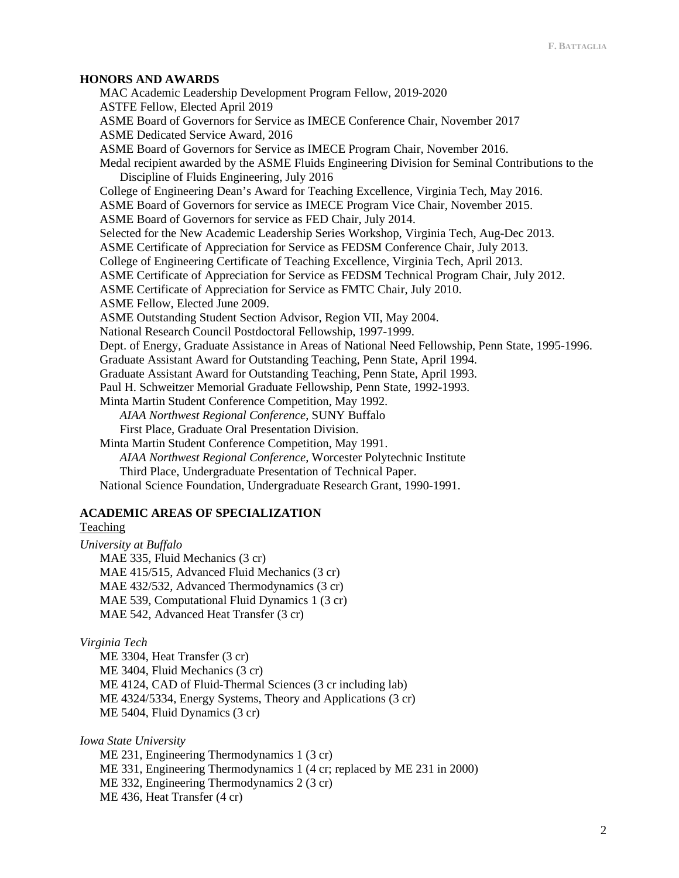#### **HONORS AND AWARDS**

MAC Academic Leadership Development Program Fellow, 2019-2020 ASTFE Fellow, Elected April 2019 ASME Board of Governors for Service as IMECE Conference Chair, November 2017 ASME Dedicated Service Award, 2016 ASME Board of Governors for Service as IMECE Program Chair, November 2016. Medal recipient awarded by the ASME Fluids Engineering Division for Seminal Contributions to the Discipline of Fluids Engineering, July 2016 College of Engineering Dean's Award for Teaching Excellence, Virginia Tech, May 2016. ASME Board of Governors for service as IMECE Program Vice Chair, November 2015. ASME Board of Governors for service as FED Chair, July 2014. Selected for the New Academic Leadership Series Workshop, Virginia Tech, Aug-Dec 2013. ASME Certificate of Appreciation for Service as FEDSM Conference Chair, July 2013. College of Engineering Certificate of Teaching Excellence, Virginia Tech, April 2013. ASME Certificate of Appreciation for Service as FEDSM Technical Program Chair, July 2012. ASME Certificate of Appreciation for Service as FMTC Chair, July 2010. ASME Fellow, Elected June 2009. ASME Outstanding Student Section Advisor, Region VII, May 2004. National Research Council Postdoctoral Fellowship, 1997-1999. Dept. of Energy, Graduate Assistance in Areas of National Need Fellowship, Penn State, 1995-1996. Graduate Assistant Award for Outstanding Teaching, Penn State, April 1994. Graduate Assistant Award for Outstanding Teaching, Penn State, April 1993. Paul H. Schweitzer Memorial Graduate Fellowship, Penn State, 1992-1993. Minta Martin Student Conference Competition, May 1992. *AIAA Northwest Regional Conference*, SUNY Buffalo First Place, Graduate Oral Presentation Division. Minta Martin Student Conference Competition, May 1991. *AIAA Northwest Regional Conference*, Worcester Polytechnic Institute Third Place, Undergraduate Presentation of Technical Paper. National Science Foundation, Undergraduate Research Grant, 1990-1991.

# **ACADEMIC AREAS OF SPECIALIZATION**

# Teaching

*University at Buffalo* MAE 335, Fluid Mechanics (3 cr) MAE 415/515, Advanced Fluid Mechanics (3 cr) MAE 432/532, Advanced Thermodynamics (3 cr) MAE 539, Computational Fluid Dynamics 1 (3 cr) MAE 542, Advanced Heat Transfer (3 cr)

### *Virginia Tech*

ME 3304, Heat Transfer (3 cr) ME 3404, Fluid Mechanics (3 cr) ME 4124, CAD of Fluid-Thermal Sciences (3 cr including lab) ME 4324/5334, Energy Systems, Theory and Applications (3 cr) ME 5404, Fluid Dynamics (3 cr)

*Iowa State University*

ME 231, Engineering Thermodynamics 1 (3 cr) ME 331, Engineering Thermodynamics 1 (4 cr; replaced by ME 231 in 2000) ME 332, Engineering Thermodynamics 2 (3 cr) ME 436, Heat Transfer (4 cr)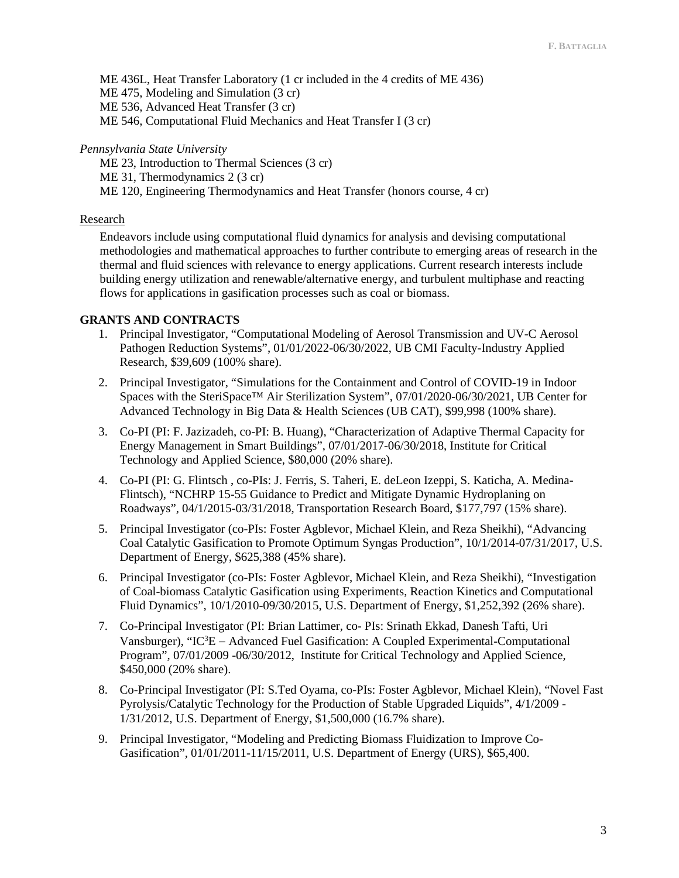ME 436L, Heat Transfer Laboratory (1 cr included in the 4 credits of ME 436) ME 475, Modeling and Simulation (3 cr) ME 536, Advanced Heat Transfer (3 cr) ME 546, Computational Fluid Mechanics and Heat Transfer I (3 cr)

### *Pennsylvania State University*

ME 23, Introduction to Thermal Sciences (3 cr) ME 31, Thermodynamics 2 (3 cr) ME 120, Engineering Thermodynamics and Heat Transfer (honors course, 4 cr)

### Research

Endeavors include using computational fluid dynamics for analysis and devising computational methodologies and mathematical approaches to further contribute to emerging areas of research in the thermal and fluid sciences with relevance to energy applications. Current research interests include building energy utilization and renewable/alternative energy, and turbulent multiphase and reacting flows for applications in gasification processes such as coal or biomass.

# **GRANTS AND CONTRACTS**

- 1. Principal Investigator, "Computational Modeling of Aerosol Transmission and UV-C Aerosol Pathogen Reduction Systems", 01/01/2022-06/30/2022, UB CMI Faculty-Industry Applied Research, \$39,609 (100% share).
- 2. Principal Investigator, "Simulations for the Containment and Control of COVID-19 in Indoor Spaces with the SteriSpace™ Air Sterilization System", 07/01/2020-06/30/2021, UB Center for Advanced Technology in Big Data & Health Sciences (UB CAT), \$99,998 (100% share).
- 3. Co-PI (PI: F. Jazizadeh, co-PI: B. Huang), "Characterization of Adaptive Thermal Capacity for Energy Management in Smart Buildings", 07/01/2017-06/30/2018, Institute for Critical Technology and Applied Science, \$80,000 (20% share).
- 4. Co-PI (PI: G. Flintsch , co-PIs: J. Ferris, S. Taheri, E. deLeon Izeppi, S. Katicha, A. Medina-Flintsch), "NCHRP 15-55 Guidance to Predict and Mitigate Dynamic Hydroplaning on Roadways", 04/1/2015-03/31/2018, Transportation Research Board, \$177,797 (15% share).
- 5. Principal Investigator (co-PIs: Foster Agblevor, Michael Klein, and Reza Sheikhi), "Advancing Coal Catalytic Gasification to Promote Optimum Syngas Production", 10/1/2014-07/31/2017, U.S. Department of Energy, \$625,388 (45% share).
- 6. Principal Investigator (co-PIs: Foster Agblevor, Michael Klein, and Reza Sheikhi), "Investigation of Coal-biomass Catalytic Gasification using Experiments, Reaction Kinetics and Computational Fluid Dynamics", 10/1/2010-09/30/2015, U.S. Department of Energy, \$1,252,392 (26% share).
- 7. Co-Principal Investigator (PI: Brian Lattimer, co- PIs: Srinath Ekkad, Danesh Tafti, Uri Vansburger), "IC<sup>3</sup>E − Advanced Fuel Gasification: A Coupled Experimental-Computational Program", 07/01/2009 -06/30/2012, Institute for Critical Technology and Applied Science, \$450,000 (20% share).
- 8. Co-Principal Investigator (PI: S.Ted Oyama, co-PIs: Foster Agblevor, Michael Klein), "Novel Fast Pyrolysis/Catalytic Technology for the Production of Stable Upgraded Liquids", 4/1/2009 - 1/31/2012, U.S. Department of Energy, \$1,500,000 (16.7% share).
- 9. Principal Investigator, "Modeling and Predicting Biomass Fluidization to Improve Co-Gasification", 01/01/2011-11/15/2011, U.S. Department of Energy (URS), \$65,400.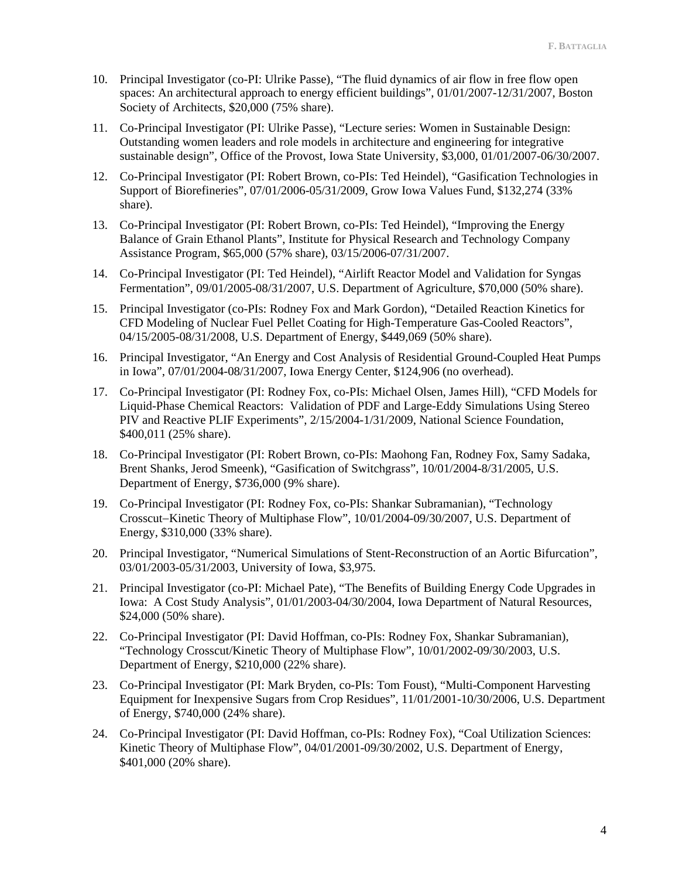- 10. Principal Investigator (co-PI: Ulrike Passe), "The fluid dynamics of air flow in free flow open spaces: An architectural approach to energy efficient buildings", 01/01/2007-12/31/2007, Boston Society of Architects, \$20,000 (75% share).
- 11. Co-Principal Investigator (PI: Ulrike Passe), "Lecture series: Women in Sustainable Design: Outstanding women leaders and role models in architecture and engineering for integrative sustainable design", Office of the Provost, Iowa State University, \$3,000, 01/01/2007-06/30/2007.
- 12. Co-Principal Investigator (PI: Robert Brown, co-PIs: Ted Heindel), "Gasification Technologies in Support of Biorefineries", 07/01/2006-05/31/2009, Grow Iowa Values Fund, \$132,274 (33% share).
- 13. Co-Principal Investigator (PI: Robert Brown, co-PIs: Ted Heindel), "Improving the Energy Balance of Grain Ethanol Plants", Institute for Physical Research and Technology Company Assistance Program, \$65,000 (57% share), 03/15/2006-07/31/2007.
- 14. Co-Principal Investigator (PI: Ted Heindel), "Airlift Reactor Model and Validation for Syngas Fermentation", 09/01/2005-08/31/2007, U.S. Department of Agriculture, \$70,000 (50% share).
- 15. Principal Investigator (co-PIs: Rodney Fox and Mark Gordon), "Detailed Reaction Kinetics for CFD Modeling of Nuclear Fuel Pellet Coating for High-Temperature Gas-Cooled Reactors", 04/15/2005-08/31/2008, U.S. Department of Energy, \$449,069 (50% share).
- 16. Principal Investigator, "An Energy and Cost Analysis of Residential Ground-Coupled Heat Pumps in Iowa", 07/01/2004-08/31/2007, Iowa Energy Center, \$124,906 (no overhead).
- 17. Co-Principal Investigator (PI: Rodney Fox, co-PIs: Michael Olsen, James Hill), "CFD Models for Liquid-Phase Chemical Reactors: Validation of PDF and Large-Eddy Simulations Using Stereo PIV and Reactive PLIF Experiments", 2/15/2004-1/31/2009, National Science Foundation, \$400,011 (25% share).
- 18. Co-Principal Investigator (PI: Robert Brown, co-PIs: Maohong Fan, Rodney Fox, Samy Sadaka, Brent Shanks, Jerod Smeenk), "Gasification of Switchgrass", 10/01/2004-8/31/2005, U.S. Department of Energy, \$736,000 (9% share).
- 19. Co-Principal Investigator (PI: Rodney Fox, co-PIs: Shankar Subramanian), "Technology Crosscut−Kinetic Theory of Multiphase Flow", 10/01/2004-09/30/2007, U.S. Department of Energy, \$310,000 (33% share).
- 20. Principal Investigator, "Numerical Simulations of Stent-Reconstruction of an Aortic Bifurcation", 03/01/2003-05/31/2003, University of Iowa, \$3,975.
- 21. Principal Investigator (co-PI: Michael Pate), "The Benefits of Building Energy Code Upgrades in Iowa: A Cost Study Analysis", 01/01/2003-04/30/2004, Iowa Department of Natural Resources, \$24,000 (50% share).
- 22. Co-Principal Investigator (PI: David Hoffman, co-PIs: Rodney Fox, Shankar Subramanian), "Technology Crosscut/Kinetic Theory of Multiphase Flow", 10/01/2002-09/30/2003, U.S. Department of Energy, \$210,000 (22% share).
- 23. Co-Principal Investigator (PI: Mark Bryden, co-PIs: Tom Foust), "Multi-Component Harvesting Equipment for Inexpensive Sugars from Crop Residues", 11/01/2001-10/30/2006, U.S. Department of Energy, \$740,000 (24% share).
- 24. Co-Principal Investigator (PI: David Hoffman, co-PIs: Rodney Fox), "Coal Utilization Sciences: Kinetic Theory of Multiphase Flow", 04/01/2001-09/30/2002, U.S. Department of Energy, \$401,000 (20% share).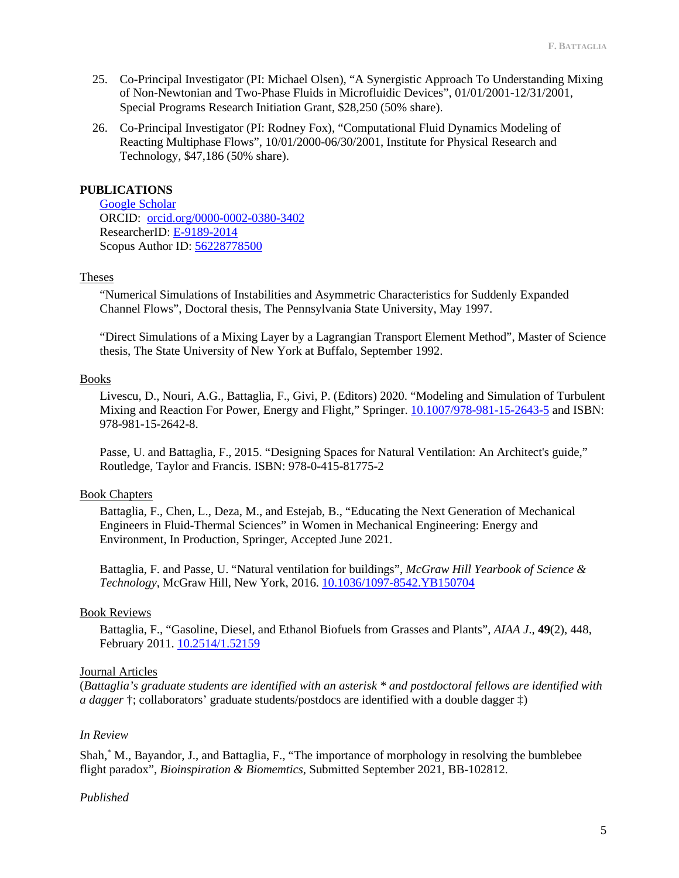- 25. Co-Principal Investigator (PI: Michael Olsen), "A Synergistic Approach To Understanding Mixing of Non-Newtonian and Two-Phase Fluids in Microfluidic Devices", 01/01/2001-12/31/2001, Special Programs Research Initiation Grant, \$28,250 (50% share).
- 26. Co-Principal Investigator (PI: Rodney Fox), "Computational Fluid Dynamics Modeling of Reacting Multiphase Flows", 10/01/2000-06/30/2001, Institute for Physical Research and Technology, \$47,186 (50% share).

# **PUBLICATIONS**

[Google Scholar](https://scholar.google.com/citations?user=VThR1LEAAAAJ&hl=en) ORCID: [orcid.org/0000-0002-0380-3402](http://orcid.org/0000-0002-0380-3402) ResearcherID: [E-9189-2014](http://www.researcherid.com/rid/E-9189-2014) Scopus Author ID: [56228778500](https://www.scopus.com/authid/detail.uri?authorId=56228778500)

### Theses

"Numerical Simulations of Instabilities and Asymmetric Characteristics for Suddenly Expanded Channel Flows", Doctoral thesis, The Pennsylvania State University, May 1997.

"Direct Simulations of a Mixing Layer by a Lagrangian Transport Element Method", Master of Science thesis, The State University of New York at Buffalo, September 1992.

### Books

Livescu, D., Nouri, A.G., Battaglia, F., Givi, P. (Editors) 2020. "Modeling and Simulation of Turbulent Mixing and Reaction For Power, Energy and Flight," Springer. [10.1007/978-981-15-2643-5](https://doi.org/10.1007/978-981-15-2643-5) and ISBN: 978-981-15-2642-8.

Passe, U. and Battaglia, F., 2015. "Designing Spaces for Natural Ventilation: An Architect's guide," Routledge, Taylor and Francis. ISBN: 978-0-415-81775-2

# Book Chapters

Battaglia, F., Chen, L., Deza, M., and Estejab, B., "Educating the Next Generation of Mechanical Engineers in Fluid-Thermal Sciences" in Women in Mechanical Engineering: Energy and Environment, In Production, Springer, Accepted June 2021.

Battaglia, F. and Passe, U. "Natural ventilation for buildings", *McGraw Hill Yearbook of Science & Technology*, McGraw Hill, New York, 2016. [10.1036/1097-8542.YB150704](https://doi.org/10.1036/1097-8542.YB150704)

# Book Reviews

Battaglia, F., "Gasoline, Diesel, and Ethanol Biofuels from Grasses and Plants", *AIAA J*., **49**(2), 448, February 2011. [10.2514/1.52159](https://doi.org/10.2514/1.52159)

### Journal Articles

(*Battaglia's graduate students are identified with an asterisk \* and postdoctoral fellows are identified with a dagger* †; collaborators' graduate students/postdocs are identified with a double dagger ‡)

### *In Review*

Shah,\* M., Bayandor, J., and Battaglia, F., "The importance of morphology in resolving the bumblebee flight paradox", *Bioinspiration & Biomemtics*, Submitted September 2021, BB-102812.

### *Published*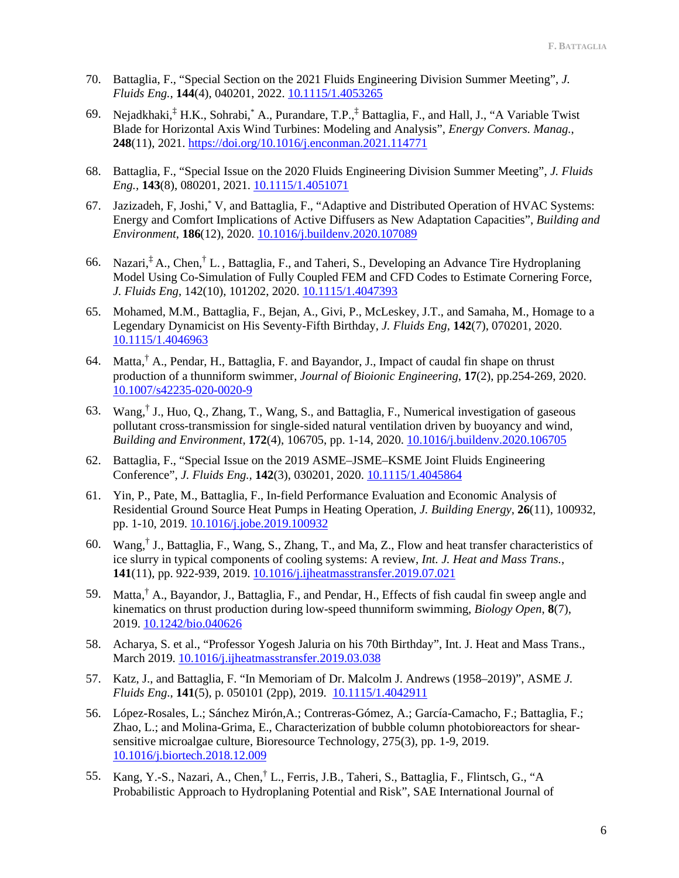- 70. Battaglia, F., "Special Section on the 2021 Fluids Engineering Division Summer Meeting", *J. Fluids Eng.,* **144**(4), 040201, 2022[. 10.1115/1.4053265](https://doi.org/10.1115/1.4053265)
- 69. Nejadkhaki,<sup>‡</sup> H.K., Sohrabi,<sup>\*</sup> A., Purandare, T.P.,<sup>‡</sup> Battaglia, F., and Hall, J., "A Variable Twist Blade for Horizontal Axis Wind Turbines: Modeling and Analysis", *Energy Convers. Manag.*, **248**(11), 2021.<https://doi.org/10.1016/j.enconman.2021.114771>
- 68. Battaglia, F., "Special Issue on the 2020 Fluids Engineering Division Summer Meeting", *J. Fluids Eng.,* **143**(8), 080201, 2021. [10.1115/1.4051071](https://doi.org/10.1115/1.4051071)
- 67. Jazizadeh, F, Joshi,\* V, and Battaglia, F., "Adaptive and Distributed Operation of HVAC Systems: Energy and Comfort Implications of Active Diffusers as New Adaptation Capacities", *Building and Environment*, **186**(12), 2020. [10.1016/j.buildenv.2020.107089](https://doi.org/10.1016/j.buildenv.2020.107089)
- 66. Nazari, ‡ A., Chen,† L. , Battaglia, F., and Taheri, S., Developing an Advance Tire Hydroplaning Model Using Co-Simulation of Fully Coupled FEM and CFD Codes to Estimate Cornering Force, *J. Fluids Eng*, 142(10), 101202, 2020. [10.1115/1.4047393](https://doi.org/10.1115/1.4047393)
- 65. Mohamed, M.M., Battaglia, F., Bejan, A., Givi, P., McLeskey, J.T., and Samaha, M., Homage to a Legendary Dynamicist on His Seventy-Fifth Birthday, *J. Fluids Eng*, **142**(7), 070201, 2020. [10.1115/1.4046963](https://doi.org/10.1115/1.4046963)
- 64. Matta,<sup>†</sup> A., Pendar, H., Battaglia, F. and Bayandor, J., Impact of caudal fin shape on thrust production of a thunniform swimmer, *Journal of Bioionic Engineering*, **17**(2), pp.254-269, 2020. [10.1007/s42235-020-0020-9](https://doi.org/10.1007/s42235-020-0020-9)
- 63. Wang,† J., Huo, Q., Zhang, T., Wang, S., and Battaglia, F., Numerical investigation of gaseous pollutant cross-transmission for single-sided natural ventilation driven by buoyancy and wind, *Building and Environment*, **172**(4), 106705, pp. 1-14, 2020. [10.1016/j.buildenv.2020.106705](https://doi.org/10.1016/j.buildenv.2020.106705)
- 62. Battaglia, F., "Special Issue on the 2019 ASME–JSME–KSME Joint Fluids Engineering Conference", *J. Fluids Eng.,* **142**(3), 030201, 2020. [10.1115/1.4045864](https://doi.org/10.1115/1.4045864)
- 61. Yin, P., Pate, M., Battaglia, F., In-field Performance Evaluation and Economic Analysis of Residential Ground Source Heat Pumps in Heating Operation, *J. Building Energy*, **26**(11), 100932, pp. 1-10, 2019. [10.1016/j.jobe.2019.100932](https://doi.org/10.1016/j.jobe.2019.100932)
- 60. Wang,† J., Battaglia, F., Wang, S., Zhang, T., and Ma, Z., Flow and heat transfer characteristics of ice slurry in typical components of cooling systems: A review, *Int. J. Heat and Mass Trans.*, **141**(11), pp. 922-939, 2019. [10.1016/j.ijheatmasstransfer.2019.07.021](https://doi.org/10.1016/j.ijheatmasstransfer.2019.07.021)
- 59. Matta,† A., Bayandor, J., Battaglia, F., and Pendar, H., Effects of fish caudal fin sweep angle and kinematics on thrust production during low-speed thunniform swimming, *Biology Open*, **8**(7), 2019. [10.1242/bio.040626](https://bio.biologists.org/content/8/7/bio040626)
- 58. Acharya, S. et al., "Professor Yogesh Jaluria on his 70th Birthday", Int. J. Heat and Mass Trans., March 2019. [10.1016/j.ijheatmasstransfer.2019.03.038](https://doi.org/10.1016/j.ijheatmasstransfer.2019.03.038)
- 57. Katz, J., and Battaglia, F. "In Memoriam of Dr. Malcolm J. Andrews (1958–2019)", ASME *J. Fluids Eng*., **141**(5), p. 050101 (2pp), 2019. [10.1115/1.4042911](https://doi.org/10.1115/1.4042911)
- 56. López-Rosales, L.; Sánchez Mirón,A.; Contreras-Gómez, A.; García-Camacho, F.; Battaglia, F.; Zhao, L.; and Molina-Grima, E., Characterization of bubble column photobioreactors for shearsensitive microalgae culture, Bioresource Technology, 275(3), pp. 1-9, 2019. [10.1016/j.biortech.2018.12.009](https://doi.org/10.1016/j.biortech.2018.12.009)
- 55. Kang, Y.-S., Nazari, A., Chen,† L., Ferris, J.B., Taheri, S., Battaglia, F., Flintsch, G., "A Probabilistic Approach to Hydroplaning Potential and Risk", SAE International Journal of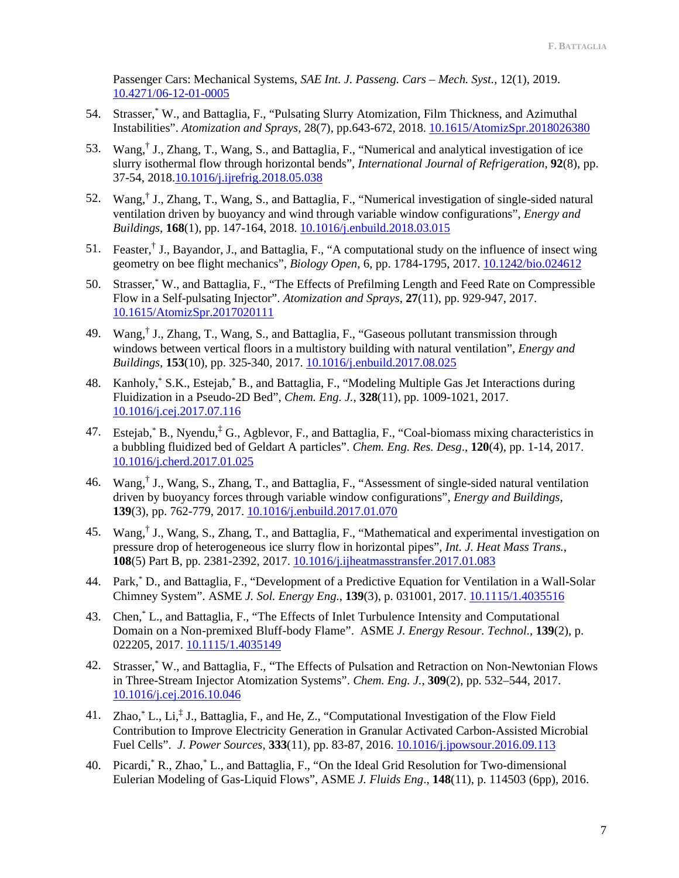Passenger Cars: Mechanical Systems, *SAE Int. J. Passeng. Cars – Mech. Syst.*, 12(1), 2019. [10.4271/06-12-01-0005](https://doi.org/10.4271/06-12-01-0005)

- 54. Strasser,\* W., and Battaglia, F., "Pulsating Slurry Atomization, Film Thickness, and Azimuthal Instabilities". *Atomization and Sprays*, 28(7), pp.643-672, 2018. [10.1615/AtomizSpr.2018026380](https://doi.org/10.1615/AtomizSpr.2018026380)
- 53. Wang,† J., Zhang, T., Wang, S., and Battaglia, F., "Numerical and analytical investigation of ice slurry isothermal flow through horizontal bends", *International Journal of Refrigeration,* **92**(8), pp. 37-54, 2018[.10.1016/j.ijrefrig.2018.05.038](https://doi.org/10.1016/j.ijrefrig.2018.05.038)
- 52. Wang,† J., Zhang, T., Wang, S., and Battaglia, F., "Numerical investigation of single-sided natural ventilation driven by buoyancy and wind through variable window configurations", *Energy and Buildings*, **168**(1), pp. 147-164, 2018[. 10.1016/j.enbuild.2018.03.015](https://doi.org/10.1016/j.enbuild.2018.03.015)
- 51. Feaster,† J., Bayandor, J., and Battaglia, F., "A computational study on the influence of insect wing geometry on bee flight mechanics", *Biology Open*, 6, pp. 1784-1795, 2017. [10.1242/bio.024612](https://doi.org/10.1242/bio.024612)
- 50. Strasser,\* W., and Battaglia, F., "The Effects of Prefilming Length and Feed Rate on Compressible Flow in a Self-pulsating Injector". *Atomization and Sprays*, **27**(11), pp. 929-947, 2017. [10.1615/AtomizSpr.2017020111](https://doi.org/10.1615/AtomizSpr.2017020111)
- 49. Wang,† J., Zhang, T., Wang, S., and Battaglia, F., "Gaseous pollutant transmission through windows between vertical floors in a multistory building with natural ventilation", *Energy and Buildings*, **153**(10), pp. 325-340, 2017. [10.1016/j.enbuild.2017.08.025](https://doi.org/10.1016/j.enbuild.2017.08.025)
- 48. Kanholy,\* S.K., Estejab,\* B., and Battaglia, F., "Modeling Multiple Gas Jet Interactions during Fluidization in a Pseudo-2D Bed", *Chem. Eng. J.*, **328**(11), pp. 1009-1021, 2017. [10.1016/j.cej.2017.07.116](https://doi.org/10.1016/j.cej.2017.07.116)
- 47. Estejab, \* B., Nyendu, \* G., Agblevor, F., and Battaglia, F., "Coal-biomass mixing characteristics in a bubbling fluidized bed of Geldart A particles". *Chem. Eng. Res. Desg*., **120**(4), pp. 1-14, 2017. [10.1016/j.cherd.2017.01.025](http://dx.doi.org/10.1016/j.cherd.2017.01.025)
- 46. Wang,† J., Wang, S., Zhang, T., and Battaglia, F., "Assessment of single-sided natural ventilation driven by buoyancy forces through variable window configurations", *Energy and Buildings*, **139**(3), pp. 762-779, 2017. [10.1016/j.enbuild.2017.01.070](http://dx.doi.org/10.1016/j.enbuild.2017.01.070)
- 45. Wang,† J., Wang, S., Zhang, T., and Battaglia, F., "Mathematical and experimental investigation on pressure drop of heterogeneous ice slurry flow in horizontal pipes", *Int. J. Heat Mass Trans.*, **108**(5) Part B, pp. 2381-2392, 2017. [10.1016/j.ijheatmasstransfer.2017.01.083](http://dx.doi.org/10.1016/j.ijheatmasstransfer.2017.01.083)
- 44. Park,\* D., and Battaglia, F., "Development of a Predictive Equation for Ventilation in a Wall-Solar Chimney System". ASME *J. Sol. Energy Eng.*, **139**(3), p. 031001, 2017. [10.1115/1.4035516](http://dx.doi.org/10.1115/1.4035516)
- 43. Chen,\* L., and Battaglia, F., "The Effects of Inlet Turbulence Intensity and Computational Domain on a Non-premixed Bluff-body Flame". ASME *J. Energy Resour. Technol.*, **139**(2), p. 022205, 2017. [10.1115/1.4035149](http://dx.doi.org/10.1115/1.4035149)
- 42. Strasser,\* W., and Battaglia, F., "The Effects of Pulsation and Retraction on Non-Newtonian Flows in Three-Stream Injector Atomization Systems". *Chem. Eng. J.*, **309**(2), pp. 532–544, 2017. [10.1016/j.cej.2016.10.046](http://dx.doi.org/10.1016/j.cej.2016.10.046)
- 41. Zhao,<sup>\*</sup> L., Li,<sup>‡</sup> J., Battaglia, F., and He, Z., "Computational Investigation of the Flow Field Contribution to Improve Electricity Generation in Granular Activated Carbon-Assisted Microbial Fuel Cells". *J. Power Sources*, **333**(11), pp. 83-87, 2016[. 10.1016/j.jpowsour.2016.09.113](http://dx.doi.org/10.1016/j.jpowsour.2016.09.113)
- 40. Picardi,\* R., Zhao,\* L., and Battaglia, F., "On the Ideal Grid Resolution for Two-dimensional Eulerian Modeling of Gas-Liquid Flows", ASME *J. Fluids Eng*., **148**(11), p. 114503 (6pp), 2016.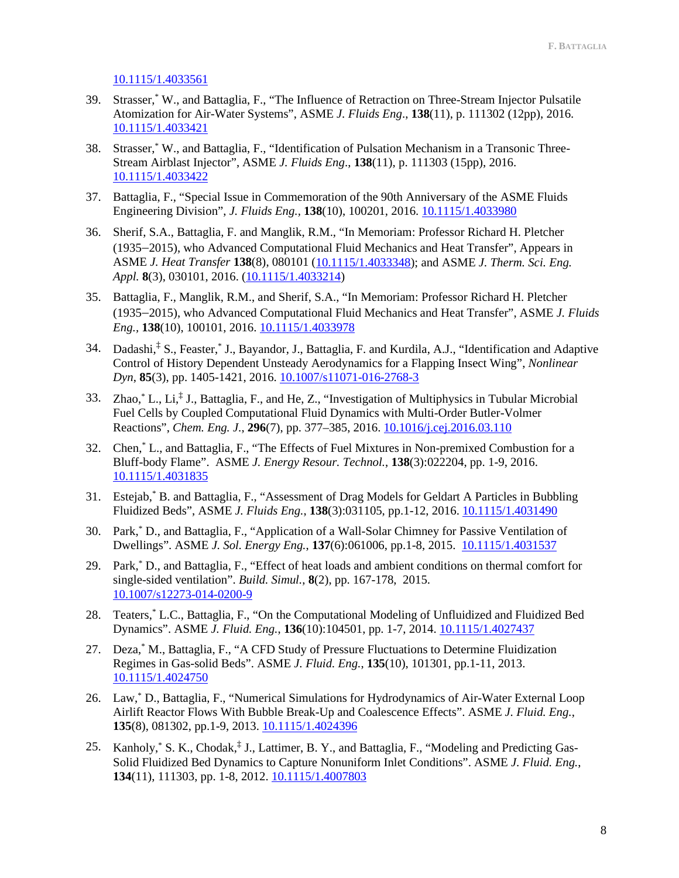[10.1115/1.4033561](https://doi.org/10.1115/1.4033561)

- 39. Strasser,\* W., and Battaglia, F., "The Influence of Retraction on Three-Stream Injector Pulsatile Atomization for Air-Water Systems", ASME *J. Fluids Eng*., **138**(11), p. 111302 (12pp), 2016. [10.1115/1.4033421](https://doi.org/10.1115/1.4033421)
- 38. Strasser,\* W., and Battaglia, F., "Identification of Pulsation Mechanism in a Transonic Three-Stream Airblast Injector", ASME *J. Fluids Eng*., **138**(11), p. 111303 (15pp), 2016. [10.1115/1.4033422](https://doi.org/10.1115/1.4033422)
- 37. Battaglia, F., "Special Issue in Commemoration of the 90th Anniversary of the ASME Fluids Engineering Division", *J. Fluids Eng.,* **138**(10), 100201, 2016. [10.1115/1.4033980](http://dx.doi.org/10.1115/1.4033980)
- 36. Sherif, S.A., Battaglia, F. and Manglik, R.M., "In Memoriam: Professor Richard H. Pletcher (1935−2015), who Advanced Computational Fluid Mechanics and Heat Transfer", Appears in ASME *J. Heat Transfer* **138**(8), 080101 [\(10.1115/1.4033348\)](https://doi.org/10.1115/1.4033348); and ASME *J. Therm. Sci. Eng. Appl.* **8**(3), 030101, 2016. [\(10.1115/1.4033214\)](https://doi.org/10.1115/1.4033214)
- 35. Battaglia, F., Manglik, R.M., and Sherif, S.A., "In Memoriam: Professor Richard H. Pletcher (1935−2015), who Advanced Computational Fluid Mechanics and Heat Transfer", ASME *J. Fluids Eng.,* **138**(10), 100101, 2016. [10.1115/1.4033978](http://dx.doi.org/10.1115/1.4033978)
- 34. Dadashi,<sup>†</sup> S., Feaster,<sup>\*</sup> J., Bayandor, J., Battaglia, F. and Kurdila, A.J., "Identification and Adaptive Control of History Dependent Unsteady Aerodynamics for a Flapping Insect Wing", *Nonlinear Dyn*, **85**(3), pp. 1405-1421, 2016. [10.1007/s11071-016-2768-3](http://doi.org/10.1007/s11071-016-2768-3)
- 33. Zhao,\* L., Li, ‡ J., Battaglia, F., and He, Z., "Investigation of Multiphysics in Tubular Microbial Fuel Cells by Coupled Computational Fluid Dynamics with Multi-Order Butler-Volmer Reactions", *Chem. Eng. J.*, **296**(7), pp. 377–385, 2016. [10.1016/j.cej.2016.03.110](http://doi.org/10.1016/j.cej.2016.03.110)
- 32. Chen,\* L., and Battaglia, F., "The Effects of Fuel Mixtures in Non-premixed Combustion for a Bluff-body Flame". ASME *J. Energy Resour. Technol.*, **138**(3):022204, pp. 1-9, 2016. [10.1115/1.4031835](http://doi.org/10.1115/1.4031835)
- 31. Estejab,\* B. and Battaglia, F., "Assessment of Drag Models for Geldart A Particles in Bubbling Fluidized Beds", ASME *J. Fluids Eng.*, **138**(3):031105, pp.1-12, 2016. [10.1115/1.4031490](http://doi.org/10.1115/1.4031490)
- 30. Park,\* D., and Battaglia, F., "Application of a Wall-Solar Chimney for Passive Ventilation of Dwellings". ASME *J. Sol. Energy Eng.*, **137**(6):061006, pp.1-8, 2015. [10.1115/1.4031537](http://doi.org/10.1115/1.4031537)
- 29. Park,\* D., and Battaglia, F., "Effect of heat loads and ambient conditions on thermal comfort for single-sided ventilation". *Build. Simul.*, **8**(2), pp. 167-178, 2015. [10.1007/s12273-014-0200-9](http://doi.org/10.1007/s12273-014-0200-9)
- 28. Teaters,\* L.C., Battaglia, F., "On the Computational Modeling of Unfluidized and Fluidized Bed Dynamics". ASME *J. Fluid. Eng.*, **136**(10):104501, pp. 1-7, 2014. [10.1115/1.4027437](http://doi.org/10.1115/1.4027437)
- 27. Deza,\* M., Battaglia, F., "A CFD Study of Pressure Fluctuations to Determine Fluidization Regimes in Gas-solid Beds". ASME *J. Fluid. Eng.*, **135**(10), 101301, pp.1-11, 2013. [10.1115/1.4024750](http://doi.org/10.1115/1.4024750)
- 26. Law,\* D., Battaglia, F., "Numerical Simulations for Hydrodynamics of Air-Water External Loop Airlift Reactor Flows With Bubble Break-Up and Coalescence Effects". ASME *J. Fluid. Eng.*, **135**(8), 081302, pp.1-9, 2013. [10.1115/1.4024396](http://doi.org/10.1115/1.4024396)
- 25. Kanholy, \* S. K., Chodak, <sup>‡</sup> J., Lattimer, B. Y., and Battaglia, F., "Modeling and Predicting Gas-Solid Fluidized Bed Dynamics to Capture Nonuniform Inlet Conditions". ASME *J. Fluid. Eng.*, **134**(11), 111303, pp. 1-8, 2012. [10.1115/1.4007803](http://doi.org/10.1115/1.4007803)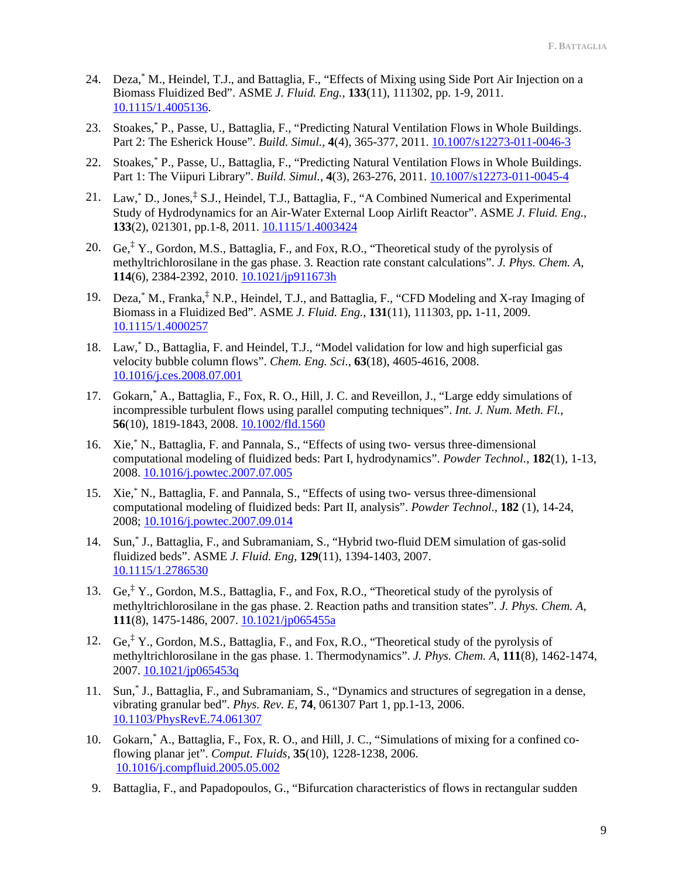- 24. Deza,\* M., Heindel, T.J., and Battaglia, F., "Effects of Mixing using Side Port Air Injection on a Biomass Fluidized Bed". ASME *J. Fluid. Eng.*, **133**(11), 111302, pp. 1-9, 2011. [10.1115/1.4005136.](http://doi.org/10.1115/1.4005136)
- 23. Stoakes,\* P., Passe, U., Battaglia, F., "Predicting Natural Ventilation Flows in Whole Buildings. Part 2: The Esherick House". *Build. Simul.,* **4**(4), 365-377, 2011. [10.1007/s12273-011-0046-3](http://doi.org/10.1007/s12273-011-0046-3)
- 22. Stoakes,\* P., Passe, U., Battaglia, F., "Predicting Natural Ventilation Flows in Whole Buildings. Part 1: The Viipuri Library". *Build. Simul.*, **4**(3), 263-276, 2011[. 10.1007/s12273-011-0045-4](http://doi.org/10.1007/s12273-011-0045-4)
- 21. Law,\* D., Jones, ‡ S.J., Heindel, T.J., Battaglia, F., "A Combined Numerical and Experimental Study of Hydrodynamics for an Air-Water External Loop Airlift Reactor". ASME *J. Fluid. Eng.*, **133**(2), 021301, pp.1-8, 2011[. 10.1115/1.4003424](http://doi.org/10.1115/1.4003424)
- 20. Ge, ‡ Y., Gordon, M.S., Battaglia, F., and Fox, R.O., "Theoretical study of the pyrolysis of methyltrichlorosilane in the gas phase. 3. Reaction rate constant calculations". *J. Phys. Chem. A*, **114**(6), 2384-2392, 2010. [10.1021/jp911673h](http://doi.org/10.1021/jp911673h)
- 19. Deza, K., Franka,<sup>‡</sup> N.P., Heindel, T.J., and Battaglia, F., "CFD Modeling and X-ray Imaging of Biomass in a Fluidized Bed". ASME *J. Fluid. Eng.*, **131**(11), 111303, pp**.** 1-11, 2009. [10.1115/1.4000257](http://doi.org/10.1115/1.4000257)
- 18. Law,\* D., Battaglia, F. and Heindel, T.J., "Model validation for low and high superficial gas velocity bubble column flows". *Chem. Eng. Sci.*, **63**(18), 4605-4616, 2008. [10.1016/j.ces.2008.07.001](http://doi.org/10.1016/j.ces.2008.07.001)
- 17. Gokarn,\* A., Battaglia, F., Fox, R. O., Hill, J. C. and Reveillon, J., "Large eddy simulations of incompressible turbulent flows using parallel computing techniques". *Int. J. Num. Meth. Fl.*, **56**(10), 1819-1843, 2008. [10.1002/fld.1560](http://doi.org/10.1002/fld.1560)
- 16. Xie,\* N., Battaglia, F. and Pannala, S., "Effects of using two- versus three-dimensional computational modeling of fluidized beds: Part I, hydrodynamics". *Powder Technol.*, **182**(1), 1-13, 2008. [10.1016/j.powtec.2007.07.005](http://doi.org/10.1016/j.powtec.2007.07.005)
- 15. Xie,\* N., Battaglia, F. and Pannala, S., "Effects of using two- versus three-dimensional computational modeling of fluidized beds: Part II, analysis". *Powder Technol.*, **182** (1), 14-24, 2008; [10.1016/j.powtec.2007.09.014](http://doi.org/10.1016/j.powtec.2007.09.014)
- 14. Sun,\* J., Battaglia, F., and Subramaniam, S., "Hybrid two-fluid DEM simulation of gas-solid fluidized beds". ASME *J. Fluid. Eng*, **129**(11), 1394-1403, 2007. [10.1115/1.2786530](http://doi.org/10.1115/1.2786530)
- 13. Ge, ‡ Y., Gordon, M.S., Battaglia, F., and Fox, R.O., "Theoretical study of the pyrolysis of methyltrichlorosilane in the gas phase. 2. Reaction paths and transition states". *J. Phys. Chem. A*, **111**(8), 1475-1486, 2007. [10.1021/jp065455a](http://doi.org/10.1021/jp065455a)
- 12. Ge, ‡ Y., Gordon, M.S., Battaglia, F., and Fox, R.O., "Theoretical study of the pyrolysis of methyltrichlorosilane in the gas phase. 1. Thermodynamics". *J. Phys. Chem. A*, **111**(8), 1462-1474, 2007. [10.1021/jp065453q](http://doi.org/10.1021/jp065453q)
- 11. Sun,\* J., Battaglia, F., and Subramaniam, S., "Dynamics and structures of segregation in a dense, vibrating granular bed". *Phys. Rev. E*, **74**, 061307 Part 1, pp.1-13, 2006. [10.1103/PhysRevE.74.061307](http://doi.org/10.1103/PhysRevE.74.061307)
- 10. Gokarn,\* A., Battaglia, F., Fox, R. O., and Hill, J. C., "Simulations of mixing for a confined coflowing planar jet". *Comput. Fluids*, **35**(10), 1228-1238, 2006. [10.1016/j.compfluid.2005.05.002](http://doi.org/10.1016/j.compfluid.2005.05.002)
- 9. Battaglia, F., and Papadopoulos, G., "Bifurcation characteristics of flows in rectangular sudden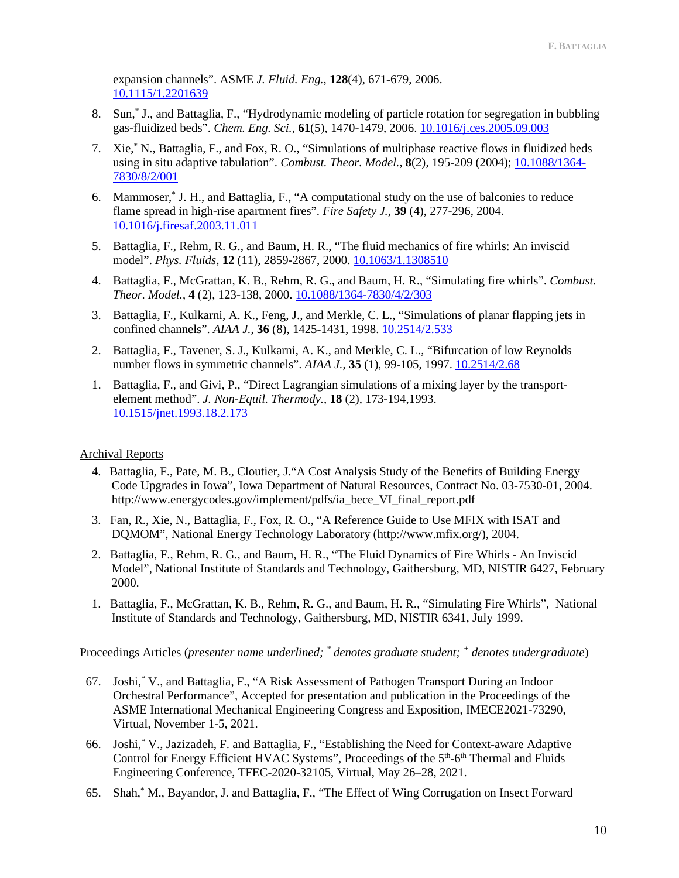expansion channels". ASME *J. Fluid. Eng.*, **128**(4), 671-679, 2006. [10.1115/1.2201639](http://doi.org/10.1115/1.2201639)

- 8. Sun,\* J., and Battaglia, F., "Hydrodynamic modeling of particle rotation for segregation in bubbling gas-fluidized beds". *Chem. Eng. Sci.*, **61**(5), 1470-1479, 2006[. 10.1016/j.ces.2005.09.003](http://doi.org/10.1016/j.ces.2005.09.003)
- 7. Xie,\* N., Battaglia, F., and Fox, R. O., "Simulations of multiphase reactive flows in fluidized beds using in situ adaptive tabulation". *Combust. Theor. Model.*, **8**(2), 195-209 (2004); [10.1088/1364-](http://doi.org/10.1088/1364-7830/8/2/001) [7830/8/2/001](http://doi.org/10.1088/1364-7830/8/2/001)
- 6. Mammoser,\* J. H., and Battaglia, F., "A computational study on the use of balconies to reduce flame spread in high-rise apartment fires". *Fire Safety J.*, **39** (4), 277-296, 2004. [10.1016/j.firesaf.2003.11.011](http://10.0.3.248/j.firesaf.2003.11.011)
- 5. Battaglia, F., Rehm, R. G., and Baum, H. R., "The fluid mechanics of fire whirls: An inviscid model". *Phys. Fluids*, **12** (11), 2859-2867, 2000[. 10.1063/1.1308510](http://10.0.4.39/1.1308510)
- 4. Battaglia, F., McGrattan, K. B., Rehm, R. G., and Baum, H. R., "Simulating fire whirls". *Combust. Theor. Model.*, **4** (2), 123-138, 2000. [10.1088/1364-7830/4/2/303](http://10.0.4.64/1364-7830/4/2/303)
- 3. Battaglia, F., Kulkarni, A. K., Feng, J., and Merkle, C. L., "Simulations of planar flapping jets in confined channels". *AIAA J.*, **36** (8), 1425-1431, 1998. [10.2514/2.533](http://10.0.9.210/2.533)
- 2. Battaglia, F., Tavener, S. J., Kulkarni, A. K., and Merkle, C. L., "Bifurcation of low Reynolds number flows in symmetric channels". *AIAA J.*, **35** (1), 99-105, 1997. [10.2514/2.68](http://10.0.9.210/2.68)
- 1. Battaglia, F., and Givi, P., "Direct Lagrangian simulations of a mixing layer by the transportelement method". *J. Non-Equil. Thermody.*, **18** (2), 173-194,1993. [10.1515/jnet.1993.18.2.173](http://10.0.5.235/jnet.1993.18.2.173)

# Archival Reports

- 4. Battaglia, F., Pate, M. B., Cloutier, J."A Cost Analysis Study of the Benefits of Building Energy Code Upgrades in Iowa", Iowa Department of Natural Resources, Contract No. 03-7530-01, 2004. http://www.energycodes.gov/implement/pdfs/ia\_bece\_VI\_final\_report.pdf
- 3. Fan, R., Xie, N., Battaglia, F., Fox, R. O., "A Reference Guide to Use MFIX with ISAT and DQMOM", National Energy Technology Laboratory (http://www.mfix.org/), 2004.
- 2. Battaglia, F., Rehm, R. G., and Baum, H. R., "The Fluid Dynamics of Fire Whirls An Inviscid Model", National Institute of Standards and Technology, Gaithersburg, MD, NISTIR 6427, February 2000.
- 1. Battaglia, F., McGrattan, K. B., Rehm, R. G., and Baum, H. R., "Simulating Fire Whirls", National Institute of Standards and Technology, Gaithersburg, MD, NISTIR 6341, July 1999.

Proceedings Articles (*presenter name underlined; \* denotes graduate student; + denotes undergraduate*)

- 67. Joshi,\* V., and Battaglia, F., "A Risk Assessment of Pathogen Transport During an Indoor Orchestral Performance", Accepted for presentation and publication in the Proceedings of the ASME International Mechanical Engineering Congress and Exposition, IMECE2021-73290, Virtual, November 1-5, 2021.
- 66. Joshi,\* V., Jazizadeh, F. and Battaglia, F., "Establishing the Need for Context-aware Adaptive Control for Energy Efficient HVAC Systems", Proceedings of the 5<sup>th</sup>-6<sup>th</sup> Thermal and Fluids Engineering Conference, TFEC-2020-32105, Virtual, May 26–28, 2021.
- 65. Shah,\* M., Bayandor, J. and Battaglia, F., "The Effect of Wing Corrugation on Insect Forward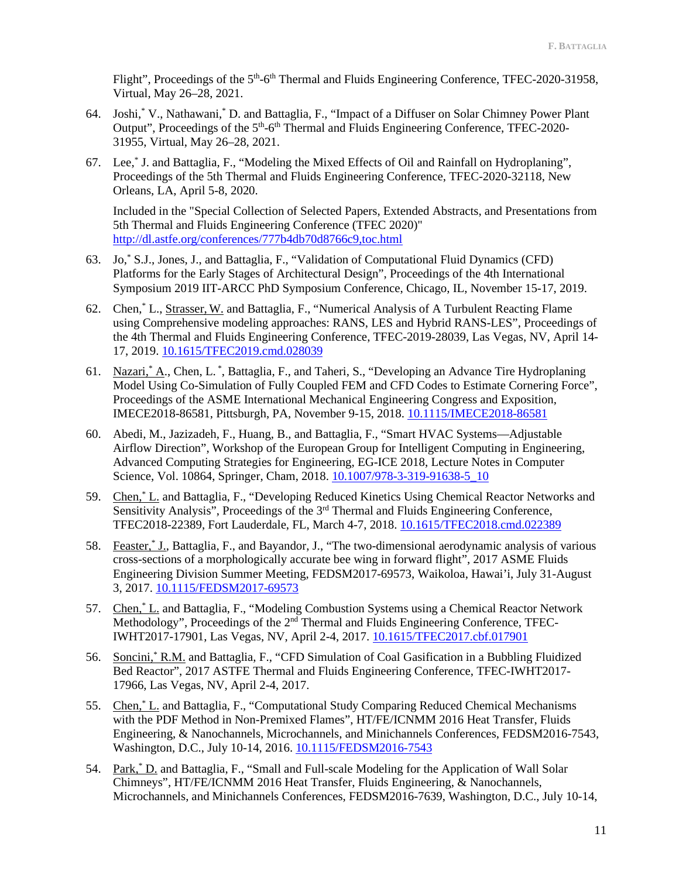Flight", Proceedings of the 5<sup>th</sup>-6<sup>th</sup> Thermal and Fluids Engineering Conference, TFEC-2020-31958, Virtual, May 26–28, 2021.

- 64. Joshi,\* V., Nathawani,\* D. and Battaglia, F., "Impact of a Diffuser on Solar Chimney Power Plant Output", Proceedings of the 5<sup>th</sup>-6<sup>th</sup> Thermal and Fluids Engineering Conference, TFEC-2020-31955, Virtual, May 26–28, 2021.
- 67. Lee,\* J. and Battaglia, F., "Modeling the Mixed Effects of Oil and Rainfall on Hydroplaning", Proceedings of the 5th Thermal and Fluids Engineering Conference, TFEC-2020-32118, New Orleans, LA, April 5-8, 2020.

Included in the "Special Collection of Selected Papers, Extended Abstracts, and Presentations from 5th Thermal and Fluids Engineering Conference (TFEC 2020)" <http://dl.astfe.org/conferences/777b4db70d8766c9,toc.html>

- 63. Jo,\* S.J., Jones, J., and Battaglia, F., "Validation of Computational Fluid Dynamics (CFD) Platforms for the Early Stages of Architectural Design", Proceedings of the 4th International Symposium 2019 IIT-ARCC PhD Symposium Conference, Chicago, IL, November 15-17, 2019.
- 62. Chen,\* L., Strasser, W. and Battaglia, F., "Numerical Analysis of A Turbulent Reacting Flame using Comprehensive modeling approaches: RANS, LES and Hybrid RANS-LES", Proceedings of the 4th Thermal and Fluids Engineering Conference, TFEC-2019-28039, Las Vegas, NV, April 14- 17, 2019. [10.1615/TFEC2019.cmd.028039](https://doi.org/10.1615/TFEC2019.cmd.028039)
- 61. Nazari, A., Chen, L. \*, Battaglia, F., and Taheri, S., "Developing an Advance Tire Hydroplaning Model Using Co-Simulation of Fully Coupled FEM and CFD Codes to Estimate Cornering Force", Proceedings of the ASME International Mechanical Engineering Congress and Exposition, IMECE2018-86581, Pittsburgh, PA, November 9-15, 2018. [10.1115/IMECE2018-86581](https://doi.org/10.1115/IMECE2018-86581)
- 60. Abedi, M., Jazizadeh, F., Huang, B., and Battaglia, F., "Smart HVAC Systems—Adjustable Airflow Direction", Workshop of the European Group for Intelligent Computing in Engineering, Advanced Computing Strategies for Engineering, EG-ICE 2018, Lecture Notes in Computer Science, Vol. 10864, Springer, Cham, 2018. [10.1007/978-3-319-91638-5\\_10](https://doi.org/10.1007/978-3-319-91638-5_10)
- 59. Chen,\* L. and Battaglia, F., "Developing Reduced Kinetics Using Chemical Reactor Networks and Sensitivity Analysis", Proceedings of the  $3<sup>rd</sup>$  Thermal and Fluids Engineering Conference, TFEC2018-22389, Fort Lauderdale, FL, March 4-7, 2018. [10.1615/TFEC2018.cmd.022389](https://doi.org/10.1615/TFEC2018.cmd.022389)
- 58. Feaster,\* J., Battaglia, F., and Bayandor, J., "The two-dimensional aerodynamic analysis of various cross-sections of a morphologically accurate bee wing in forward flight", 2017 ASME Fluids Engineering Division Summer Meeting, FEDSM2017-69573, Waikoloa, Hawai'i, July 31-August 3, 2017. [10.1115/FEDSM2017-69573](https://doi.org/10.1115/FEDSM2017-69573)
- 57. Chen,\* L. and Battaglia, F., "Modeling Combustion Systems using a Chemical Reactor Network Methodology", Proceedings of the 2<sup>nd</sup> Thermal and Fluids Engineering Conference, TFEC-IWHT2017-17901, Las Vegas, NV, April 2-4, 2017. [10.1615/TFEC2017.cbf.017901](https://doi.org/10.1615/TFEC2017.cbf.017901)
- 56. Soncini,\* R.M. and Battaglia, F., "CFD Simulation of Coal Gasification in a Bubbling Fluidized Bed Reactor", 2017 ASTFE Thermal and Fluids Engineering Conference, TFEC-IWHT2017- 17966, Las Vegas, NV, April 2-4, 2017.
- 55. Chen,<sup>\*</sup> L. and Battaglia, F., "Computational Study Comparing Reduced Chemical Mechanisms with the PDF Method in Non-Premixed Flames", HT/FE/ICNMM 2016 Heat Transfer, Fluids Engineering, & Nanochannels, Microchannels, and Minichannels Conferences, FEDSM2016-7543, Washington, D.C., July 10-14, 2016[. 10.1115/FEDSM2016-7543](http://dx.doi.org/10.1115/FEDSM2016-7543)
- 54. Park,<sup>\*</sup> D. and Battaglia, F., "Small and Full-scale Modeling for the Application of Wall Solar Chimneys", HT/FE/ICNMM 2016 Heat Transfer, Fluids Engineering, & Nanochannels, Microchannels, and Minichannels Conferences, FEDSM2016-7639, Washington, D.C., July 10-14,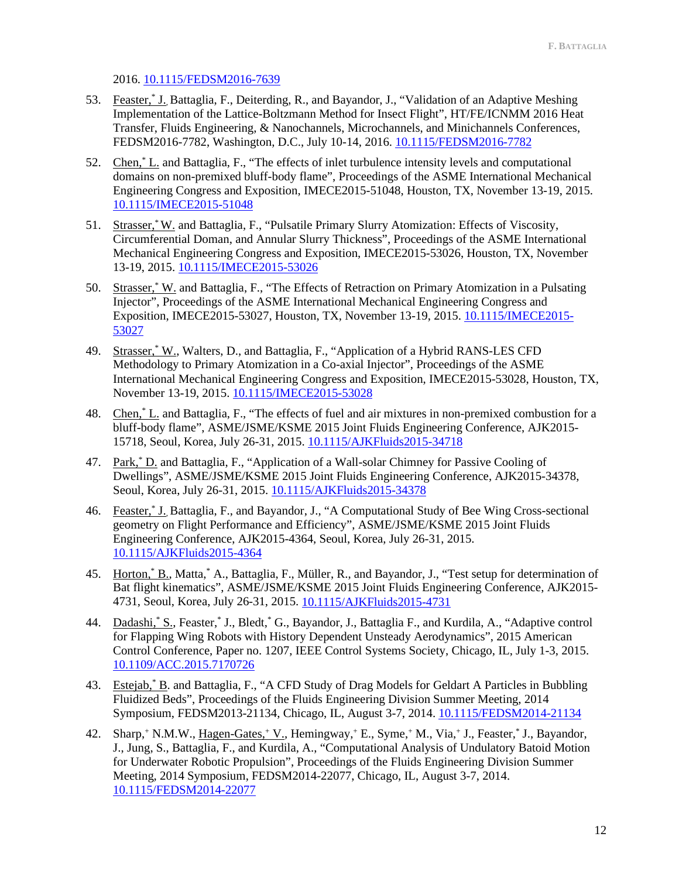2016. [10.1115/FEDSM2016-7639](http://dx.doi.org/10.1115/FEDSM2016-7639)

- 53. Feaster, \* J., Battaglia, F., Deiterding, R., and Bayandor, J., "Validation of an Adaptive Meshing Implementation of the Lattice-Boltzmann Method for Insect Flight", HT/FE/ICNMM 2016 Heat Transfer, Fluids Engineering, & Nanochannels, Microchannels, and Minichannels Conferences, FEDSM2016-7782, Washington, D.C., July 10-14, 2016. [10.1115/FEDSM2016-7782](http://dx.doi.org/10.1115/FEDSM2016-7782)
- 52. Chen,\* L. and Battaglia, F., "The effects of inlet turbulence intensity levels and computational domains on non-premixed bluff-body flame", Proceedings of the ASME International Mechanical Engineering Congress and Exposition, IMECE2015-51048, Houston, TX, November 13-19, 2015. [10.1115/IMECE2015-51048](http://dx.doi.org/10.1115/IMECE2015-51048)
- 51. Strasser,\* W. and Battaglia, F., "Pulsatile Primary Slurry Atomization: Effects of Viscosity, Circumferential Doman, and Annular Slurry Thickness", Proceedings of the ASME International Mechanical Engineering Congress and Exposition, IMECE2015-53026, Houston, TX, November 13-19, 2015[. 10.1115/IMECE2015-53026](http://dx.doi.org/10.1115/IMECE2015-53026)
- 50. Strasser,\* W. and Battaglia, F., "The Effects of Retraction on Primary Atomization in a Pulsating Injector", Proceedings of the ASME International Mechanical Engineering Congress and Exposition, IMECE2015-53027, Houston, TX, November 13-19, 2015. [10.1115/IMECE2015-](http://dx.doi.org/10.1115/IMECE2015-53027) [53027](http://dx.doi.org/10.1115/IMECE2015-53027)
- 49. Strasser,\* W., Walters, D., and Battaglia, F., "Application of a Hybrid RANS-LES CFD Methodology to Primary Atomization in a Co-axial Injector", Proceedings of the ASME International Mechanical Engineering Congress and Exposition, IMECE2015-53028, Houston, TX, November 13-19, 2015. [10.1115/IMECE2015-53028](http://dx.doi.org/10.1115/IMECE2015-53028)
- 48. Chen,<sup>\*</sup> L. and Battaglia, F., "The effects of fuel and air mixtures in non-premixed combustion for a bluff-body flame", ASME/JSME/KSME 2015 Joint Fluids Engineering Conference, AJK2015- 15718, Seoul, Korea, July 26-31, 2015[. 10.1115/AJKFluids2015-34718](http://dx.doi.org/10.1115/AJKFluids2015-34718)
- 47. Park,\* D. and Battaglia, F., "Application of a Wall-solar Chimney for Passive Cooling of Dwellings", ASME/JSME/KSME 2015 Joint Fluids Engineering Conference, AJK2015-34378, Seoul, Korea, July 26-31, 2015[. 10.1115/AJKFluids2015-34378](http://dx.doi.org/10.1115/AJKFluids2015-34378)
- 46. Feaster,\* J., Battaglia, F., and Bayandor, J., "A Computational Study of Bee Wing Cross-sectional geometry on Flight Performance and Efficiency", ASME/JSME/KSME 2015 Joint Fluids Engineering Conference, AJK2015-4364, Seoul, Korea, July 26-31, 2015. [10.1115/AJKFluids2015-4364](http://dx.doi.org/10.1115/AJKFluids2015-4364)
- 45. Horton,\* B., Matta,\* A., Battaglia, F., Müller, R., and Bayandor, J., "Test setup for determination of Bat flight kinematics", ASME/JSME/KSME 2015 Joint Fluids Engineering Conference, AJK2015- 4731, Seoul, Korea, July 26-31, 2015. [10.1115/AJKFluids2015-4731](http://dx.doi.org/10.1115/AJKFluids2015-4731)
- 44. Dadashi,\* S., Feaster,\* J., Bledt,\* G., Bayandor, J., Battaglia F., and Kurdila, A., "Adaptive control for Flapping Wing Robots with History Dependent Unsteady Aerodynamics", 2015 American Control Conference, Paper no. 1207, IEEE Control Systems Society, Chicago, IL, July 1-3, 2015. [10.1109/ACC.2015.7170726](http://dx.doi.org/10.1109/ACC.2015.7170726)
- 43. Estejab,\* B. and Battaglia, F., "A CFD Study of Drag Models for Geldart A Particles in Bubbling Fluidized Beds", Proceedings of the Fluids Engineering Division Summer Meeting, 2014 Symposium, FEDSM2013-21134, Chicago, IL, August 3-7, 2014[. 10.1115/FEDSM2014-21134](http://dx.doi.org/10.1115/FEDSM2014-21134)
- 42. Sharp,+ N.M.W., Hagen-Gates,+ V., Hemingway,+ E., Syme,+ M., Via,+ J., Feaster,\* J., Bayandor, J., Jung, S., Battaglia, F., and Kurdila, A., "Computational Analysis of Undulatory Batoid Motion for Underwater Robotic Propulsion", Proceedings of the Fluids Engineering Division Summer Meeting, 2014 Symposium, FEDSM2014-22077, Chicago, IL, August 3-7, 2014. [10.1115/FEDSM2014-22077](http://dx.doi.org/10.1115/FEDSM2014-22077)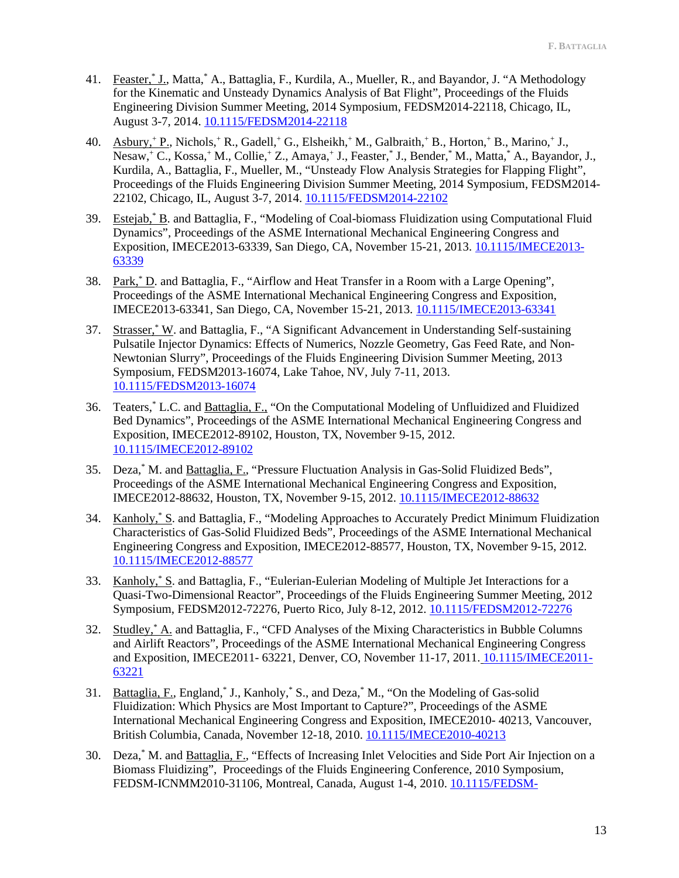- 41. Feaster, I., Matta, A., Battaglia, F., Kurdila, A., Mueller, R., and Bayandor, J. "A Methodology for the Kinematic and Unsteady Dynamics Analysis of Bat Flight", Proceedings of the Fluids Engineering Division Summer Meeting, 2014 Symposium, FEDSM2014-22118, Chicago, IL, August 3-7, 2014. [10.1115/FEDSM2014-22118](http://dx.doi.org/10.1115/FEDSM2014-22118)
- 40. Asbury,+ P., Nichols,+ R., Gadell,+ G., Elsheikh,+ M., Galbraith,+ B., Horton,+ B., Marino,+ J., Nesaw,+ C., Kossa,+ M., Collie,+ Z., Amaya,+ J., Feaster,\* J., Bender,\* M., Matta,\* A., Bayandor, J., Kurdila, A., Battaglia, F., Mueller, M., ["Unsteady Flow Analysis Strategies for Flapping Flight"](http://proceedings.asmedigitalcollection.asme.org/proceeding.aspx?articleid=2086783&resultClick=3), Proceedings of the Fluids Engineering Division Summer Meeting, 2014 Symposium, FEDSM2014- 22102, Chicago, IL, August 3-7, 2014. [10.1115/FEDSM2014-22102](http://dx.doi.org/10.1115/FEDSM2014-22102)
- 39. Estejab,\* B. and Battaglia, F., "Modeling of Coal-biomass Fluidization using Computational Fluid Dynamics", Proceedings of the ASME International Mechanical Engineering Congress and Exposition, IMECE2013-63339, San Diego, CA, November 15-21, 2013. [10.1115/IMECE2013-](http://dx.doi.org/10.1115/IMECE2013-63339) [63339](http://dx.doi.org/10.1115/IMECE2013-63339)
- 38. Park,\* D. and Battaglia, F., "Airflow and Heat Transfer in a Room with a Large Opening", Proceedings of the ASME International Mechanical Engineering Congress and Exposition, IMECE2013-63341, San Diego, CA, November 15-21, 2013. [10.1115/IMECE2013-63341](http://dx.doi.org/10.1115/IMECE2013-63341)
- 37. Strasser,\* W. and Battaglia, F., "A Significant Advancement in Understanding Self-sustaining Pulsatile Injector Dynamics: Effects of Numerics, Nozzle Geometry, Gas Feed Rate, and Non-Newtonian Slurry", Proceedings of the Fluids Engineering Division Summer Meeting, 2013 Symposium, FEDSM2013-16074, Lake Tahoe, NV, July 7-11, 2013. [10.1115/FEDSM2013-16074](http://dx.doi.org/10.1115/FEDSM2013-16074)
- 36. Teaters,\* L.C. and Battaglia, F., "On the Computational Modeling of Unfluidized and Fluidized Bed Dynamics", Proceedings of the ASME International Mechanical Engineering Congress and Exposition, IMECE2012-89102, Houston, TX, November 9-15, 2012. [10.1115/IMECE2012-89102](http://dx.doi.org/10.1115/IMECE2012-89102)
- 35. Deza,\* M. and Battaglia, F., "Pressure Fluctuation Analysis in Gas-Solid Fluidized Beds", Proceedings of the ASME International Mechanical Engineering Congress and Exposition, IMECE2012-88632, Houston, TX, November 9-15, 2012. [10.1115/IMECE2012-88632](http://doi.org/10.1115/IMECE2012-88632)
- 34. Kanholy,\* S. and Battaglia, F., "Modeling Approaches to Accurately Predict Minimum Fluidization Characteristics of Gas-Solid Fluidized Beds", Proceedings of the ASME International Mechanical Engineering Congress and Exposition, IMECE2012-88577, Houston, TX, November 9-15, 2012. [10.1115/IMECE2012-88577](http://doi.org/10.1115/IMECE2012-88577)
- 33. Kanholy,\* S. and Battaglia, F., "Eulerian-Eulerian Modeling of Multiple Jet Interactions for a Quasi-Two-Dimensional Reactor", Proceedings of the Fluids Engineering Summer Meeting, 2012 Symposium, FEDSM2012-72276, Puerto Rico, July 8-12, 2012. [10.1115/FEDSM2012-72276](http://doi.org/10.1115/FEDSM2012-72276)
- 32. Studley,\* A. and Battaglia, F., "CFD Analyses of the Mixing Characteristics in Bubble Columns and Airlift Reactors", Proceedings of the ASME International Mechanical Engineering Congress and Exposition, IMECE2011- 63221, Denver, CO, November 11-17, 2011. [10.1115/IMECE2011-](http://doi.org/10.1115/IMECE2011-63221) [63221](http://doi.org/10.1115/IMECE2011-63221)
- 31. Battaglia, F., England,\* J., Kanholy,\* S., and Deza,\* M., "On the Modeling of Gas-solid Fluidization: Which Physics are Most Important to Capture?", Proceedings of the ASME International Mechanical Engineering Congress and Exposition, IMECE2010- 40213, Vancouver, British Columbia, Canada, November 12-18, 2010. [10.1115/IMECE2010-40213](http://doi.org/10.1115/IMECE2010-40213)
- 30. Deza,\* M. and Battaglia, F., "Effects of Increasing Inlet Velocities and Side Port Air Injection on a Biomass Fluidizing", Proceedings of the Fluids Engineering Conference, 2010 Symposium, FEDSM-ICNMM2010-31106, Montreal, Canada, August 1-4, 2010. [10.1115/FEDSM-](http://doi.org/10.1115/FEDSM-ICNMM2010-31106)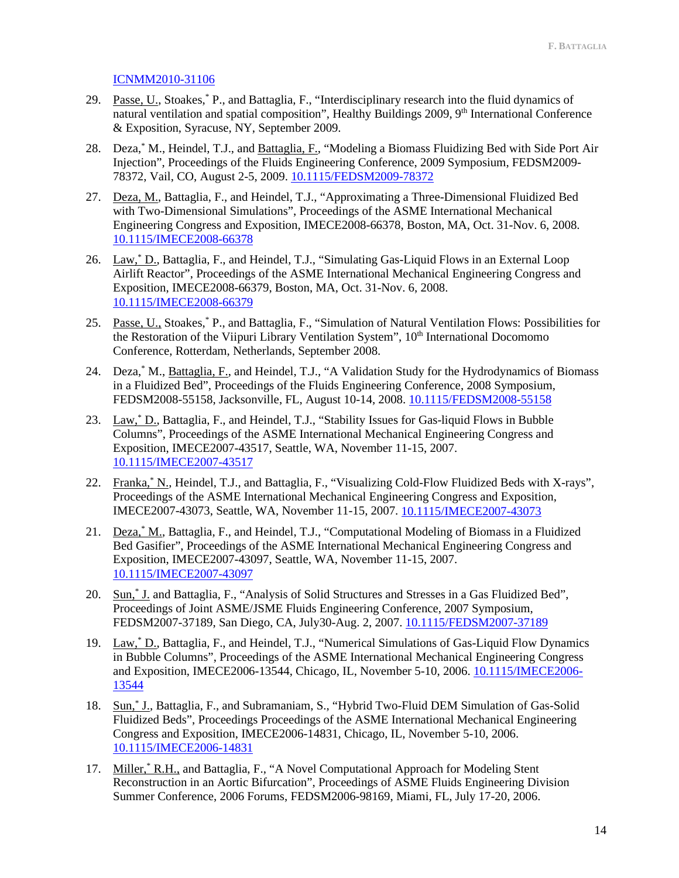# [ICNMM2010-31106](http://doi.org/10.1115/FEDSM-ICNMM2010-31106)

- 29. Passe, U., Stoakes,\* P., and Battaglia, F., "Interdisciplinary research into the fluid dynamics of natural ventilation and spatial composition", Healthy Buildings 2009, 9<sup>th</sup> International Conference & Exposition, Syracuse, NY, September 2009.
- 28. Deza,\* M., Heindel, T.J., and Battaglia, F., "Modeling a Biomass Fluidizing Bed with Side Port Air Injection", Proceedings of the Fluids Engineering Conference, 2009 Symposium, FEDSM2009- 78372, Vail, CO, August 2-5, 2009. [10.1115/FEDSM2009-78372](http://doi.org/10.1115/FEDSM2009-78372)
- 27. Deza, M., Battaglia, F., and Heindel, T.J., "Approximating a Three-Dimensional Fluidized Bed with Two-Dimensional Simulations", Proceedings of the ASME International Mechanical Engineering Congress and Exposition, IMECE2008-66378, Boston, MA, Oct. 31-Nov. 6, 2008. [10.1115/IMECE2008-66378](http://doi.org/10.1115/IMECE2008-66378)
- 26. Law,\* D., Battaglia, F., and Heindel, T.J., "Simulating Gas-Liquid Flows in an External Loop Airlift Reactor", Proceedings of the ASME International Mechanical Engineering Congress and Exposition, IMECE2008-66379, Boston, MA, Oct. 31-Nov. 6, 2008. [10.1115/IMECE2008-66379](http://doi.org/10.1115/IMECE2008-66379)
- 25. Passe, U., Stoakes, P., and Battaglia, F., "Simulation of Natural Ventilation Flows: Possibilities for the Restoration of the Viipuri Library Ventilation System", 10<sup>th</sup> International Docomomo Conference, Rotterdam, Netherlands, September 2008.
- 24. Deza,\* M., Battaglia, F., and Heindel, T.J., "A Validation Study for the Hydrodynamics of Biomass in a Fluidized Bed", Proceedings of the Fluids Engineering Conference, 2008 Symposium, FEDSM2008-55158, Jacksonville, FL, August 10-14, 2008[. 10.1115/FEDSM2008-55158](http://doi.org/10.1115/FEDSM2008-55158)
- 23. Law,\* D., Battaglia, F., and Heindel, T.J., "Stability Issues for Gas-liquid Flows in Bubble Columns", Proceedings of the ASME International Mechanical Engineering Congress and Exposition, IMECE2007-43517, Seattle, WA, November 11-15, 2007. [10.1115/IMECE2007-43517](http://doi.org/10.1115/IMECE2007-43517)
- 22. Franka,\* N., Heindel, T.J., and Battaglia, F., "Visualizing Cold-Flow Fluidized Beds with X-rays", Proceedings of the ASME International Mechanical Engineering Congress and Exposition, IMECE2007-43073, Seattle, WA, November 11-15, 2007. [10.1115/IMECE2007-43073](http://doi.org/10.1115/IMECE2007-43073)
- 21. Deza, M., Battaglia, F., and Heindel, T.J., "Computational Modeling of Biomass in a Fluidized Bed Gasifier", Proceedings of the ASME International Mechanical Engineering Congress and Exposition, IMECE2007-43097, Seattle, WA, November 11-15, 2007. [10.1115/IMECE2007-43097](http://doi.org/10.1115/IMECE2007-43097)
- 20. Sun,\* J. and Battaglia, F., "Analysis of Solid Structures and Stresses in a Gas Fluidized Bed", Proceedings of Joint ASME/JSME Fluids Engineering Conference, 2007 Symposium, FEDSM2007-37189, San Diego, CA, July30-Aug. 2, 2007[. 10.1115/FEDSM2007-37189](http://doi.org/10.1115/FEDSM2007-37189)
- 19. Law,\* D., Battaglia, F., and Heindel, T.J., "Numerical Simulations of Gas-Liquid Flow Dynamics in Bubble Columns", Proceedings of the ASME International Mechanical Engineering Congress and Exposition, IMECE2006-13544, Chicago, IL, November 5-10, 2006. [10.1115/IMECE2006-](http://doi.org/10.1115/IMECE2006-13544) [13544](http://doi.org/10.1115/IMECE2006-13544)
- 18. Sun,\* J., Battaglia, F., and Subramaniam, S., "Hybrid Two-Fluid DEM Simulation of Gas-Solid Fluidized Beds", Proceedings Proceedings of the ASME International Mechanical Engineering Congress and Exposition, IMECE2006-14831, Chicago, IL, November 5-10, 2006. [10.1115/IMECE2006-14831](http://doi.org/10.1115/IMECE2006-14831)
- 17. Miller, K.H., and Battaglia, F., "A Novel Computational Approach for Modeling Stent Reconstruction in an Aortic Bifurcation", Proceedings of ASME Fluids Engineering Division Summer Conference, 2006 Forums, FEDSM2006-98169, Miami, FL, July 17-20, 2006.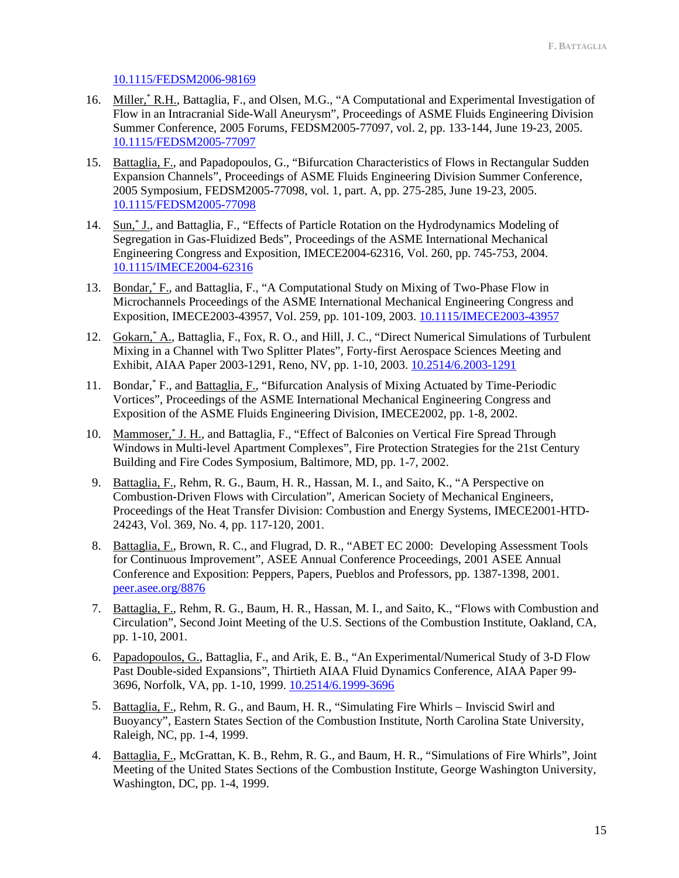### [10.1115/FEDSM2006-98169](http://doi.org/10.1115/FEDSM2006-98169)

- 16. Miller, K.H., Battaglia, F., and Olsen, M.G., "A Computational and Experimental Investigation of Flow in an Intracranial Side-Wall Aneurysm", Proceedings of ASME Fluids Engineering Division Summer Conference, 2005 Forums, FEDSM2005-77097, vol. 2, pp. 133-144, June 19-23, 2005. [10.1115/FEDSM2005-77097](http://doi.org/10.1115/FEDSM2005-77097)
- 15. Battaglia, F., and Papadopoulos, G., "Bifurcation Characteristics of Flows in Rectangular Sudden Expansion Channels", Proceedings of ASME Fluids Engineering Division Summer Conference, 2005 Symposium, FEDSM2005-77098, vol. 1, part. A, pp. 275-285, June 19-23, 2005. [10.1115/FEDSM2005-77098](http://doi.org/10.1115/FEDSM2005-77098)
- 14. Sun,\* J., and Battaglia, F., "Effects of Particle Rotation on the Hydrodynamics Modeling of Segregation in Gas-Fluidized Beds", Proceedings of the ASME International Mechanical Engineering Congress and Exposition, IMECE2004-62316, Vol. 260, pp. 745-753, 2004. [10.1115/IMECE2004-62316](http://dx.doi.org/10.1115/IMECE2004-62316)
- 13. Bondar, \* F., and Battaglia, F., "A Computational Study on Mixing of Two-Phase Flow in Microchannels Proceedings of the ASME International Mechanical Engineering Congress and Exposition, IMECE2003-43957, Vol. 259, pp. 101-109, 2003. [10.1115/IMECE2003-43957](http://dx.doi.org/10.1115/IMECE2003-43957)
- 12. Gokarn,\* A., Battaglia, F., Fox, R. O., and Hill, J. C., "Direct Numerical Simulations of Turbulent Mixing in a Channel with Two Splitter Plates", Forty-first Aerospace Sciences Meeting and Exhibit, AIAA Paper 2003-1291, Reno, NV, pp. 1-10, 2003. [10.2514/6.2003-1291](http://dx.doi.org/10.2514/6.2003-1291)
- 11. Bondar,\* F., and Battaglia, F., "Bifurcation Analysis of Mixing Actuated by Time-Periodic Vortices", Proceedings of the ASME International Mechanical Engineering Congress and Exposition of the ASME Fluids Engineering Division, IMECE2002, pp. 1-8, 2002.
- 10. Mammoser,\* J. H., and Battaglia, F., "Effect of Balconies on Vertical Fire Spread Through Windows in Multi-level Apartment Complexes", Fire Protection Strategies for the 21st Century Building and Fire Codes Symposium, Baltimore, MD, pp. 1-7, 2002.
- 9. Battaglia, F., Rehm, R. G., Baum, H. R., Hassan, M. I., and Saito, K., "A Perspective on Combustion-Driven Flows with Circulation", American Society of Mechanical Engineers, Proceedings of the Heat Transfer Division: Combustion and Energy Systems, IMECE2001-HTD-24243, Vol. 369, No. 4, pp. 117-120, 2001.
- 8. Battaglia, F., Brown, R. C., and Flugrad, D. R., "ABET EC 2000: Developing Assessment Tools for Continuous Improvement", ASEE Annual Conference Proceedings, 2001 ASEE Annual Conference and Exposition: Peppers, Papers, Pueblos and Professors, pp. 1387-1398, 2001. [peer.asee.org/8876](https://peer.asee.org/8876)
- 7. Battaglia, F., Rehm, R. G., Baum, H. R., Hassan, M. I., and Saito, K., "Flows with Combustion and Circulation", Second Joint Meeting of the U.S. Sections of the Combustion Institute, Oakland, CA, pp. 1-10, 2001.
- 6. Papadopoulos, G., Battaglia, F., and Arik, E. B., "An Experimental/Numerical Study of 3-D Flow Past Double-sided Expansions", Thirtieth AIAA Fluid Dynamics Conference, AIAA Paper 99- 3696, Norfolk, VA, pp. 1-10, 1999. [10.2514/6.1999-3696](http://dx.doi.org/10.2514/6.1999-3696)
- 5. Battaglia, F., Rehm, R. G., and Baum, H. R., "Simulating Fire Whirls − Inviscid Swirl and Buoyancy", Eastern States Section of the Combustion Institute, North Carolina State University, Raleigh, NC, pp. 1-4, 1999.
- 4. Battaglia, F., McGrattan, K. B., Rehm, R. G., and Baum, H. R., "Simulations of Fire Whirls", Joint Meeting of the United States Sections of the Combustion Institute, George Washington University, Washington, DC, pp. 1-4, 1999.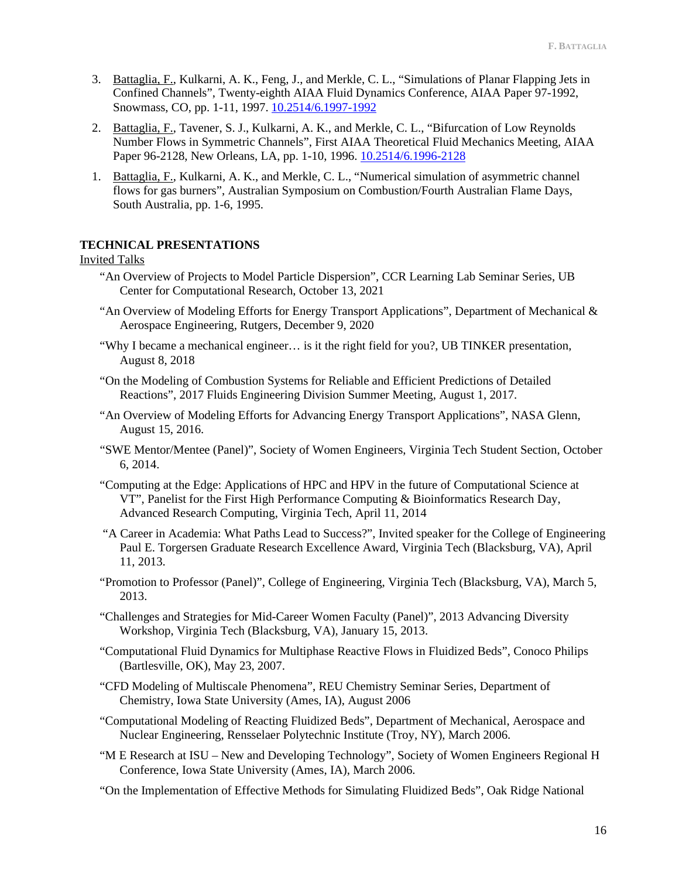- 3. Battaglia, F., Kulkarni, A. K., Feng, J., and Merkle, C. L., "Simulations of Planar Flapping Jets in Confined Channels", Twenty-eighth AIAA Fluid Dynamics Conference, AIAA Paper 97-1992, Snowmass, CO, pp. 1-11, 1997. [10.2514/6.1997-1992](http://dx.doi.org/10.2514/6.1997-1992)
- 2. Battaglia, F., Tavener, S. J., Kulkarni, A. K., and Merkle, C. L., "Bifurcation of Low Reynolds Number Flows in Symmetric Channels", First AIAA Theoretical Fluid Mechanics Meeting, AIAA Paper 96-2128, New Orleans, LA, pp. 1-10, 1996. [10.2514/6.1996-2128](http://dx.doi.org/10.2514/6.1996-2128)
- 1. Battaglia, F., Kulkarni, A. K., and Merkle, C. L., "Numerical simulation of asymmetric channel flows for gas burners", Australian Symposium on Combustion/Fourth Australian Flame Days, South Australia, pp. 1-6, 1995.

# **TECHNICAL PRESENTATIONS**

#### Invited Talks

- "An Overview of Projects to Model Particle Dispersion", CCR Learning Lab Seminar Series, UB Center for Computational Research, October 13, 2021
- "An Overview of Modeling Efforts for Energy Transport Applications", Department of Mechanical & Aerospace Engineering, Rutgers, December 9, 2020
- "Why I became a mechanical engineer… is it the right field for you?, UB TINKER presentation, August 8, 2018
- "On the Modeling of Combustion Systems for Reliable and Efficient Predictions of Detailed Reactions", 2017 Fluids Engineering Division Summer Meeting, August 1, 2017.
- "An Overview of Modeling Efforts for Advancing Energy Transport Applications", NASA Glenn, August 15, 2016.
- "SWE Mentor/Mentee (Panel)", Society of Women Engineers, Virginia Tech Student Section, October 6, 2014.
- "Computing at the Edge: Applications of HPC and HPV in the future of Computational Science at VT", Panelist for the First High Performance Computing & Bioinformatics Research Day, Advanced Research Computing, Virginia Tech, April 11, 2014
- "A Career in Academia: What Paths Lead to Success?", Invited speaker for the College of Engineering Paul E. Torgersen Graduate Research Excellence Award, Virginia Tech (Blacksburg, VA), April 11, 2013.
- "Promotion to Professor (Panel)", College of Engineering, Virginia Tech (Blacksburg, VA), March 5, 2013.
- "Challenges and Strategies for Mid-Career Women Faculty (Panel)", 2013 Advancing Diversity Workshop, Virginia Tech (Blacksburg, VA), January 15, 2013.
- "Computational Fluid Dynamics for Multiphase Reactive Flows in Fluidized Beds", Conoco Philips (Bartlesville, OK), May 23, 2007.
- "CFD Modeling of Multiscale Phenomena", REU Chemistry Seminar Series, Department of Chemistry, Iowa State University (Ames, IA), August 2006
- "Computational Modeling of Reacting Fluidized Beds", Department of Mechanical, Aerospace and Nuclear Engineering, Rensselaer Polytechnic Institute (Troy, NY), March 2006.
- "M E Research at ISU New and Developing Technology", Society of Women Engineers Regional H Conference, Iowa State University (Ames, IA), March 2006.
- "On the Implementation of Effective Methods for Simulating Fluidized Beds", Oak Ridge National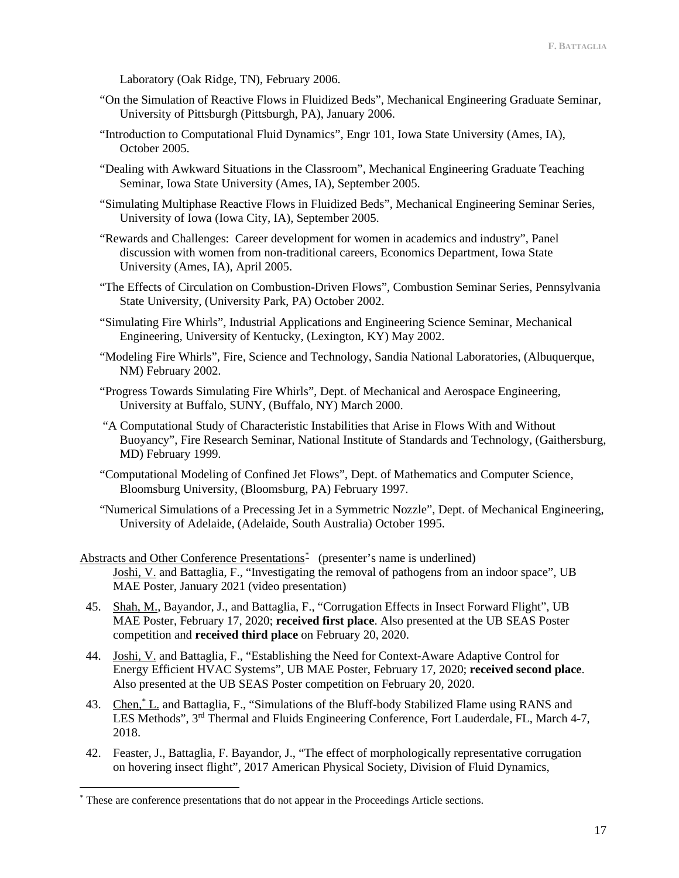Laboratory (Oak Ridge, TN), February 2006.

- "On the Simulation of Reactive Flows in Fluidized Beds", Mechanical Engineering Graduate Seminar, University of Pittsburgh (Pittsburgh, PA), January 2006.
- "Introduction to Computational Fluid Dynamics", Engr 101, Iowa State University (Ames, IA), October 2005.
- "Dealing with Awkward Situations in the Classroom", Mechanical Engineering Graduate Teaching Seminar, Iowa State University (Ames, IA), September 2005.
- "Simulating Multiphase Reactive Flows in Fluidized Beds", Mechanical Engineering Seminar Series, University of Iowa (Iowa City, IA), September 2005.
- "Rewards and Challenges: Career development for women in academics and industry", Panel discussion with women from non-traditional careers, Economics Department, Iowa State University (Ames, IA), April 2005.
- "The Effects of Circulation on Combustion-Driven Flows", Combustion Seminar Series, Pennsylvania State University, (University Park, PA) October 2002.
- "Simulating Fire Whirls", Industrial Applications and Engineering Science Seminar, Mechanical Engineering, University of Kentucky, (Lexington, KY) May 2002.
- "Modeling Fire Whirls", Fire, Science and Technology, Sandia National Laboratories, (Albuquerque, NM) February 2002.
- "Progress Towards Simulating Fire Whirls", Dept. of Mechanical and Aerospace Engineering, University at Buffalo, SUNY, (Buffalo, NY) March 2000.
- "A Computational Study of Characteristic Instabilities that Arise in Flows With and Without Buoyancy", Fire Research Seminar, National Institute of Standards and Technology, (Gaithersburg, MD) February 1999.
- "Computational Modeling of Confined Jet Flows", Dept. of Mathematics and Computer Science, Bloomsburg University, (Bloomsburg, PA) February 1997.
- "Numerical Simulations of a Precessing Jet in a Symmetric Nozzle", Dept. of Mechanical Engineering, University of Adelaide, (Adelaide, South Australia) October 1995.
- Abstracts and Other Conference Presentations<sup>\*</sup> (presenter's name is underlined) Joshi, V. and Battaglia, F., "Investigating the removal of pathogens from an indoor space", UB MAE Poster, January 2021 (video presentation)
- 45. Shah, M., Bayandor, J., and Battaglia, F., "Corrugation Effects in Insect Forward Flight", UB MAE Poster, February 17, 2020; **received first place**. Also presented at the UB SEAS Poster competition and **received third place** on February 20, 2020.
- 44. Joshi, V. and Battaglia, F., "Establishing the Need for Context-Aware Adaptive Control for Energy Efficient HVAC Systems", UB MAE Poster, February 17, 2020; **received second place**. Also presented at the UB SEAS Poster competition on February 20, 2020.
- 43. Chen,\* L. and Battaglia, F., "Simulations of the Bluff-body Stabilized Flame using RANS and LES Methods", 3<sup>rd</sup> Thermal and Fluids Engineering Conference, Fort Lauderdale, FL, March 4-7, 2018.
- 42. Feaster, J., Battaglia, F. Bayandor, J., "The effect of morphologically representative corrugation on hovering insect flight", 2017 American Physical Society, Division of Fluid Dynamics,

<span id="page-16-0"></span><sup>\*</sup> These are conference presentations that do not appear in the Proceedings Article sections.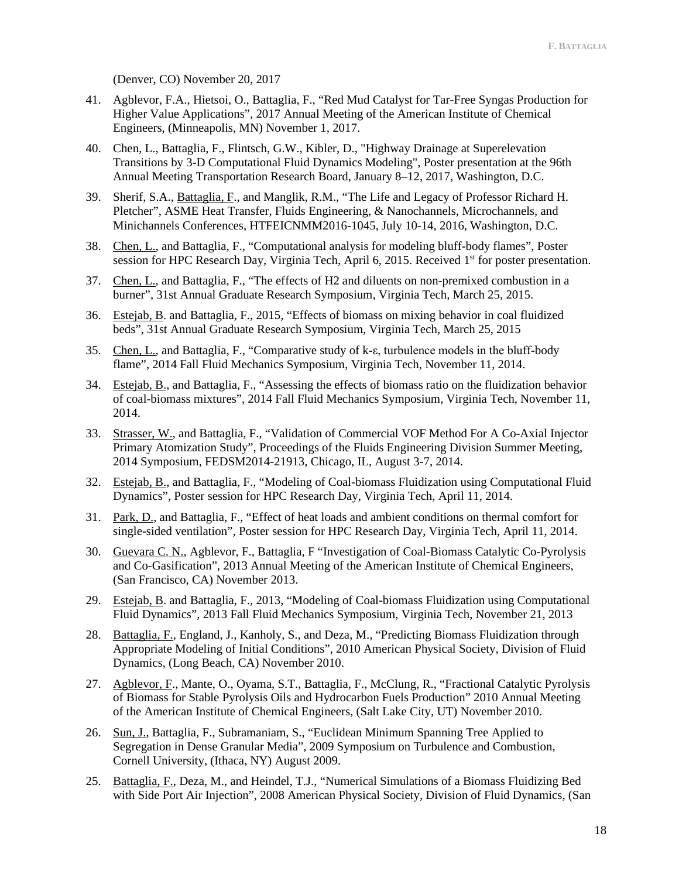(Denver, CO) November 20, 2017

- 41. Agblevor, F.A., Hietsoi, O., Battaglia, F., "Red Mud Catalyst for Tar-Free Syngas Production for Higher Value Applications", 2017 Annual Meeting of the American Institute of Chemical Engineers, (Minneapolis, MN) November 1, 2017.
- 40. Chen, L., Battaglia, F., Flintsch, G.W., Kibler, D., "Highway Drainage at Superelevation Transitions by 3-D Computational Fluid Dynamics Modeling", Poster presentation at the 96th Annual Meeting Transportation Research Board, January 8–12, 2017, Washington, D.C.
- 39. Sherif, S.A., Battaglia, F., and Manglik, R.M., "The Life and Legacy of Professor Richard H. Pletcher", ASME Heat Transfer, Fluids Engineering, & Nanochannels, Microchannels, and Minichannels Conferences, HTFEICNMM2016-1045, July 10-14, 2016, Washington, D.C.
- 38. Chen, L., and Battaglia, F., "Computational analysis for modeling bluff-body flames", Poster session for HPC Research Day, Virginia Tech, April 6, 2015. Received 1<sup>st</sup> for poster presentation.
- 37. Chen, L., and Battaglia, F., "The effects of H2 and diluents on non-premixed combustion in a burner", 31st Annual Graduate Research Symposium, Virginia Tech, March 25, 2015.
- 36. Estejab, B. and Battaglia, F., 2015, "Effects of biomass on mixing behavior in coal fluidized beds", 31st Annual Graduate Research Symposium, Virginia Tech, March 25, 2015
- 35. Chen, L., and Battaglia, F., "Comparative study of k-ε, turbulence models in the bluff-body flame", 2014 Fall Fluid Mechanics Symposium, Virginia Tech, November 11, 2014.
- 34. Estejab, B., and Battaglia, F., "Assessing the effects of biomass ratio on the fluidization behavior of coal-biomass mixtures", 2014 Fall Fluid Mechanics Symposium, Virginia Tech, November 11, 2014.
- 33. Strasser, W., and Battaglia, F., "Validation of Commercial VOF Method For A Co-Axial Injector Primary Atomization Study", Proceedings of the Fluids Engineering Division Summer Meeting, 2014 Symposium, FEDSM2014-21913, Chicago, IL, August 3-7, 2014.
- 32. Estejab, B., and Battaglia, F., "Modeling of Coal-biomass Fluidization using Computational Fluid Dynamics", Poster session for HPC Research Day, Virginia Tech, April 11, 2014.
- 31. Park, D., and Battaglia, F., "Effect of heat loads and ambient conditions on thermal comfort for single-sided ventilation", Poster session for HPC Research Day, Virginia Tech, April 11, 2014.
- 30. Guevara C. N., Agblevor, F., Battaglia, F "Investigation of Coal-Biomass Catalytic Co-Pyrolysis and Co-Gasification", 2013 Annual Meeting of the American Institute of Chemical Engineers, (San Francisco, CA) November 2013.
- 29. Estejab, B. and Battaglia, F., 2013, "Modeling of Coal-biomass Fluidization using Computational Fluid Dynamics", 2013 Fall Fluid Mechanics Symposium, Virginia Tech, November 21, 2013
- 28. Battaglia, F., England, J., Kanholy, S., and Deza, M., "Predicting Biomass Fluidization through Appropriate Modeling of Initial Conditions", 2010 American Physical Society, Division of Fluid Dynamics, (Long Beach, CA) November 2010.
- 27. Agblevor, F., Mante, O., Oyama, S.T., Battaglia, F., McClung, R., "Fractional Catalytic Pyrolysis of Biomass for Stable Pyrolysis Oils and Hydrocarbon Fuels Production" 2010 Annual Meeting of the American Institute of Chemical Engineers, (Salt Lake City, UT) November 2010.
- 26. Sun, J., Battaglia, F., Subramaniam, S., "Euclidean Minimum Spanning Tree Applied to Segregation in Dense Granular Media", 2009 Symposium on Turbulence and Combustion, Cornell University, (Ithaca, NY) August 2009.
- 25. Battaglia, F., Deza, M., and Heindel, T.J., "Numerical Simulations of a Biomass Fluidizing Bed with Side Port Air Injection", 2008 American Physical Society, Division of Fluid Dynamics, (San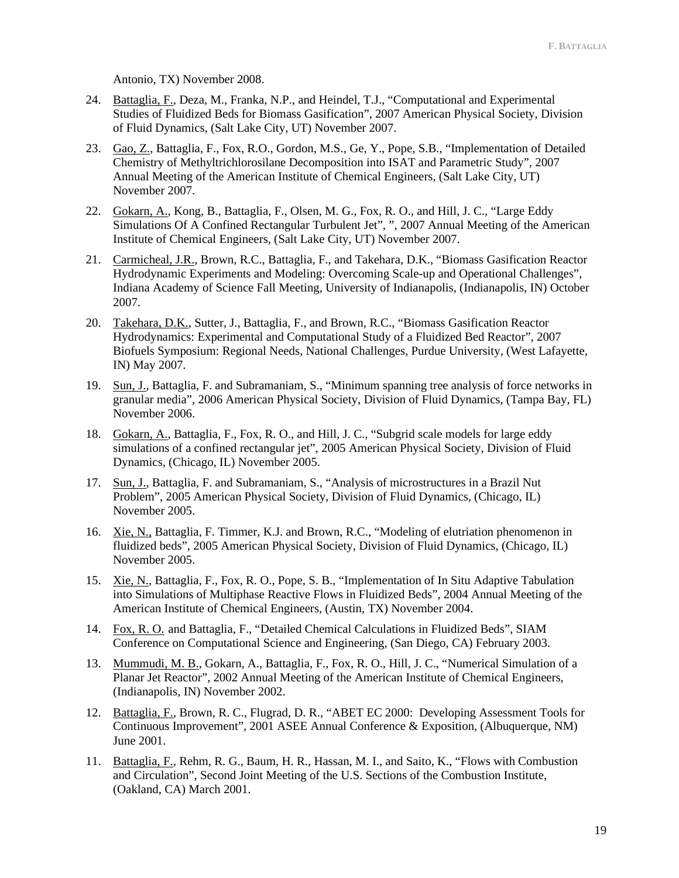Antonio, TX) November 2008.

- 24. Battaglia, F., Deza, M., Franka, N.P., and Heindel, T.J., "Computational and Experimental Studies of Fluidized Beds for Biomass Gasification", 2007 American Physical Society, Division of Fluid Dynamics, (Salt Lake City, UT) November 2007.
- 23. Gao, Z., Battaglia, F., Fox, R.O., Gordon, M.S., Ge, Y., Pope, S.B., "Implementation of Detailed Chemistry of Methyltrichlorosilane Decomposition into ISAT and Parametric Study", 2007 Annual Meeting of the American Institute of Chemical Engineers, (Salt Lake City, UT) November 2007.
- 22. Gokarn, A., Kong, B., Battaglia, F., Olsen, M. G., Fox, R. O., and Hill, J. C., "Large Eddy Simulations Of A Confined Rectangular Turbulent Jet", ", 2007 Annual Meeting of the American Institute of Chemical Engineers, (Salt Lake City, UT) November 2007.
- 21. Carmicheal, J.R., Brown, R.C., Battaglia, F., and Takehara, D.K., "Biomass Gasification Reactor Hydrodynamic Experiments and Modeling: Overcoming Scale-up and Operational Challenges", Indiana Academy of Science Fall Meeting, University of Indianapolis, (Indianapolis, IN) October 2007.
- 20. Takehara, D.K., Sutter, J., Battaglia, F., and Brown, R.C., "Biomass Gasification Reactor Hydrodynamics: Experimental and Computational Study of a Fluidized Bed Reactor", 2007 Biofuels Symposium: Regional Needs, National Challenges, Purdue University, (West Lafayette, IN) May 2007.
- 19. Sun, J., Battaglia, F. and Subramaniam, S., "Minimum spanning tree analysis of force networks in granular media", 2006 American Physical Society, Division of Fluid Dynamics, (Tampa Bay, FL) November 2006.
- 18. Gokarn, A., Battaglia, F., Fox, R. O., and Hill, J. C., "Subgrid scale models for large eddy simulations of a confined rectangular jet", 2005 American Physical Society, Division of Fluid Dynamics, (Chicago, IL) November 2005.
- 17. Sun, J., Battaglia, F. and Subramaniam, S., "Analysis of microstructures in a Brazil Nut Problem", 2005 American Physical Society, Division of Fluid Dynamics, (Chicago, IL) November 2005.
- 16. Xie, N., Battaglia, F. Timmer, K.J. and Brown, R.C., "Modeling of elutriation phenomenon in fluidized beds", 2005 American Physical Society, Division of Fluid Dynamics, (Chicago, IL) November 2005.
- 15. Xie, N., Battaglia, F., Fox, R. O., Pope, S. B., "Implementation of In Situ Adaptive Tabulation into Simulations of Multiphase Reactive Flows in Fluidized Beds", 2004 Annual Meeting of the American Institute of Chemical Engineers, (Austin, TX) November 2004.
- 14. Fox, R. O. and Battaglia, F., "Detailed Chemical Calculations in Fluidized Beds", SIAM Conference on Computational Science and Engineering, (San Diego, CA) February 2003.
- 13. Mummudi, M. B., Gokarn, A., Battaglia, F., Fox, R. O., Hill, J. C., "Numerical Simulation of a Planar Jet Reactor", 2002 Annual Meeting of the American Institute of Chemical Engineers, (Indianapolis, IN) November 2002.
- 12. Battaglia, F., Brown, R. C., Flugrad, D. R., "ABET EC 2000: Developing Assessment Tools for Continuous Improvement", 2001 ASEE Annual Conference & Exposition, (Albuquerque, NM) June 2001.
- 11. Battaglia, F., Rehm, R. G., Baum, H. R., Hassan, M. I., and Saito, K., "Flows with Combustion and Circulation", Second Joint Meeting of the U.S. Sections of the Combustion Institute, (Oakland, CA) March 2001.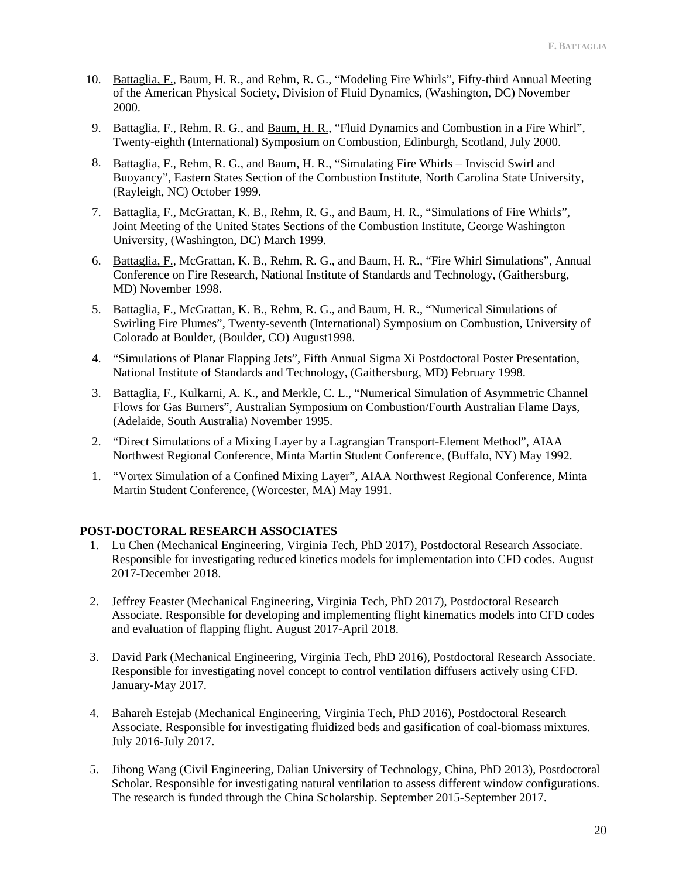- 10. Battaglia, F., Baum, H. R., and Rehm, R. G., "Modeling Fire Whirls", Fifty-third Annual Meeting of the American Physical Society, Division of Fluid Dynamics, (Washington, DC) November 2000.
- 9. Battaglia, F., Rehm, R. G., and Baum, H. R., "Fluid Dynamics and Combustion in a Fire Whirl", Twenty-eighth (International) Symposium on Combustion, Edinburgh, Scotland, July 2000.
- 8. Battaglia, F., Rehm, R. G., and Baum, H. R., "Simulating Fire Whirls − Inviscid Swirl and Buoyancy", Eastern States Section of the Combustion Institute, North Carolina State University, (Rayleigh, NC) October 1999.
- 7. Battaglia, F., McGrattan, K. B., Rehm, R. G., and Baum, H. R., "Simulations of Fire Whirls", Joint Meeting of the United States Sections of the Combustion Institute, George Washington University, (Washington, DC) March 1999.
- 6. Battaglia, F., McGrattan, K. B., Rehm, R. G., and Baum, H. R., "Fire Whirl Simulations", Annual Conference on Fire Research, National Institute of Standards and Technology, (Gaithersburg, MD) November 1998.
- 5. Battaglia, F., McGrattan, K. B., Rehm, R. G., and Baum, H. R., "Numerical Simulations of Swirling Fire Plumes", Twenty-seventh (International) Symposium on Combustion, University of Colorado at Boulder, (Boulder, CO) August1998.
- 4. "Simulations of Planar Flapping Jets", Fifth Annual Sigma Xi Postdoctoral Poster Presentation, National Institute of Standards and Technology, (Gaithersburg, MD) February 1998.
- 3. Battaglia, F., Kulkarni, A. K., and Merkle, C. L., "Numerical Simulation of Asymmetric Channel Flows for Gas Burners", Australian Symposium on Combustion/Fourth Australian Flame Days, (Adelaide, South Australia) November 1995.
- 2. "Direct Simulations of a Mixing Layer by a Lagrangian Transport-Element Method", AIAA Northwest Regional Conference, Minta Martin Student Conference, (Buffalo, NY) May 1992.
- 1. "Vortex Simulation of a Confined Mixing Layer", AIAA Northwest Regional Conference, Minta Martin Student Conference, (Worcester, MA) May 1991.

# **POST-DOCTORAL RESEARCH ASSOCIATES**

- 1. Lu Chen (Mechanical Engineering, Virginia Tech, PhD 2017), Postdoctoral Research Associate. Responsible for investigating reduced kinetics models for implementation into CFD codes. August 2017-December 2018.
- 2. Jeffrey Feaster (Mechanical Engineering, Virginia Tech, PhD 2017), Postdoctoral Research Associate. Responsible for developing and implementing flight kinematics models into CFD codes and evaluation of flapping flight. August 2017-April 2018.
- 3. David Park (Mechanical Engineering, Virginia Tech, PhD 2016), Postdoctoral Research Associate. Responsible for investigating novel concept to control ventilation diffusers actively using CFD. January-May 2017.
- 4. Bahareh Estejab (Mechanical Engineering, Virginia Tech, PhD 2016), Postdoctoral Research Associate. Responsible for investigating fluidized beds and gasification of coal-biomass mixtures. July 2016-July 2017.
- 5. Jihong Wang (Civil Engineering, Dalian University of Technology, China, PhD 2013), Postdoctoral Scholar. Responsible for investigating natural ventilation to assess different window configurations. The research is funded through the China Scholarship. September 2015-September 2017.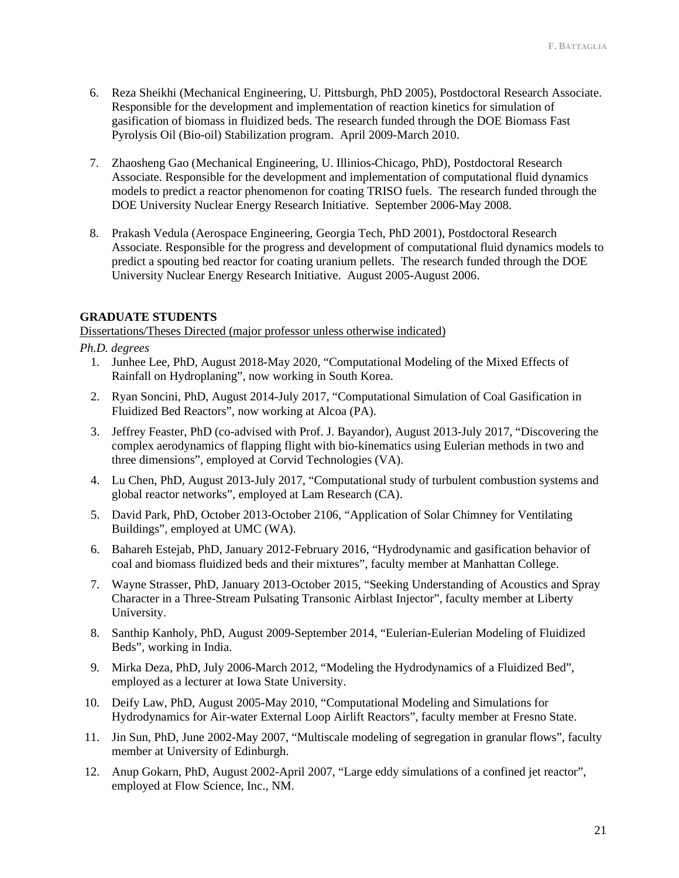- 6. Reza Sheikhi (Mechanical Engineering, U. Pittsburgh, PhD 2005), Postdoctoral Research Associate. Responsible for the development and implementation of reaction kinetics for simulation of gasification of biomass in fluidized beds. The research funded through the DOE Biomass Fast Pyrolysis Oil (Bio-oil) Stabilization program. April 2009-March 2010.
- 7. Zhaosheng Gao (Mechanical Engineering, U. Illinios-Chicago, PhD), Postdoctoral Research Associate. Responsible for the development and implementation of computational fluid dynamics models to predict a reactor phenomenon for coating TRISO fuels. The research funded through the DOE University Nuclear Energy Research Initiative. September 2006-May 2008.
- 8. Prakash Vedula (Aerospace Engineering, Georgia Tech, PhD 2001), Postdoctoral Research Associate. Responsible for the progress and development of computational fluid dynamics models to predict a spouting bed reactor for coating uranium pellets. The research funded through the DOE University Nuclear Energy Research Initiative. August 2005-August 2006.

### **GRADUATE STUDENTS**

Dissertations/Theses Directed (major professor unless otherwise indicated)

### *Ph.D. degrees*

- 1. Junhee Lee, PhD, August 2018-May 2020, "Computational Modeling of the Mixed Effects of Rainfall on Hydroplaning", now working in South Korea.
- 2. Ryan Soncini, PhD, August 2014-July 2017, "Computational Simulation of Coal Gasification in Fluidized Bed Reactors", now working at Alcoa (PA).
- 3. Jeffrey Feaster, PhD (co-advised with Prof. J. Bayandor), August 2013-July 2017, "Discovering the complex aerodynamics of flapping flight with bio-kinematics using Eulerian methods in two and three dimensions", employed at Corvid Technologies (VA).
- 4. Lu Chen, PhD, August 2013-July 2017, "Computational study of turbulent combustion systems and global reactor networks", employed at Lam Research (CA).
- 5. David Park, PhD, October 2013-October 2106, "Application of Solar Chimney for Ventilating Buildings", employed at UMC (WA).
- 6. Bahareh Estejab, PhD, January 2012-February 2016, "Hydrodynamic and gasification behavior of coal and biomass fluidized beds and their mixtures", faculty member at Manhattan College.
- 7. Wayne Strasser, PhD, January 2013-October 2015, "Seeking Understanding of Acoustics and Spray Character in a Three-Stream Pulsating Transonic Airblast Injector", faculty member at Liberty University.
- 8. Santhip Kanholy, PhD, August 2009-September 2014, "Eulerian-Eulerian Modeling of Fluidized Beds", working in India.
- 9. Mirka Deza, PhD, July 2006-March 2012, "Modeling the Hydrodynamics of a Fluidized Bed", employed as a lecturer at Iowa State University.
- 10. Deify Law, PhD, August 2005-May 2010, "Computational Modeling and Simulations for Hydrodynamics for Air-water External Loop Airlift Reactors", faculty member at Fresno State.
- 11. Jin Sun, PhD, June 2002-May 2007, "Multiscale modeling of segregation in granular flows", faculty member at University of Edinburgh.
- 12. Anup Gokarn, PhD, August 2002-April 2007, "Large eddy simulations of a confined jet reactor", employed at Flow Science, Inc., NM.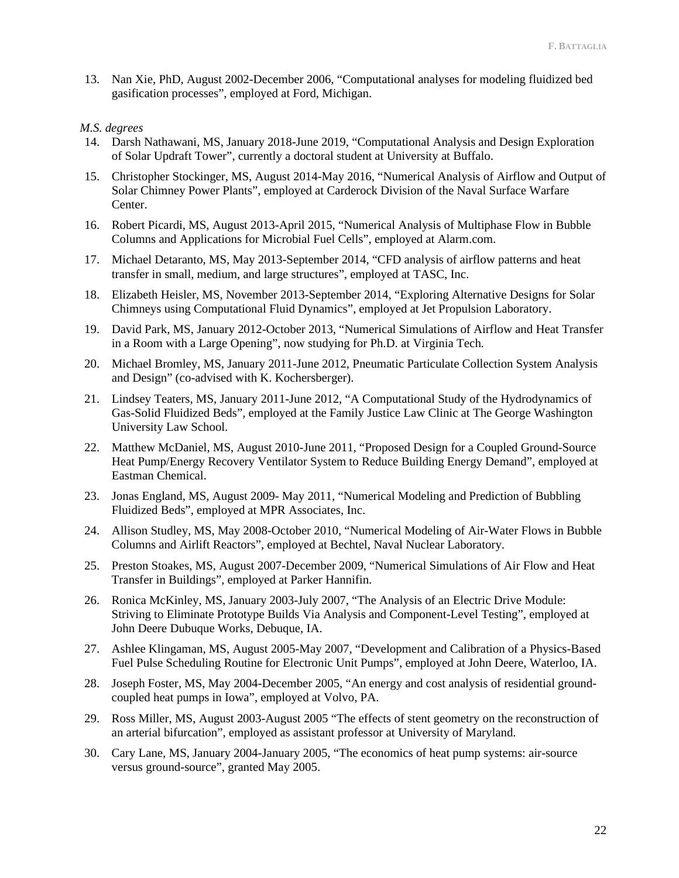13. Nan Xie, PhD, August 2002-December 2006, "Computational analyses for modeling fluidized bed gasification processes", employed at Ford, Michigan.

### *M.S. degrees*

- 14. Darsh Nathawani, MS, January 2018-June 2019, "Computational Analysis and Design Exploration of Solar Updraft Tower", currently a doctoral student at University at Buffalo.
- 15. Christopher Stockinger, MS, August 2014-May 2016, "Numerical Analysis of Airflow and Output of Solar Chimney Power Plants", employed at Carderock Division of the Naval Surface Warfare Center.
- 16. Robert Picardi, MS, August 2013-April 2015, "Numerical Analysis of Multiphase Flow in Bubble Columns and Applications for Microbial Fuel Cells", employed at Alarm.com.
- 17. Michael Detaranto, MS, May 2013-September 2014, "CFD analysis of airflow patterns and heat transfer in small, medium, and large structures", employed at TASC, Inc.
- 18. Elizabeth Heisler, MS, November 2013-September 2014, "Exploring Alternative Designs for Solar Chimneys using Computational Fluid Dynamics", employed at Jet Propulsion Laboratory.
- 19. David Park, MS, January 2012-October 2013, "Numerical Simulations of Airflow and Heat Transfer in a Room with a Large Opening", now studying for Ph.D. at Virginia Tech.
- 20. Michael Bromley, MS, January 2011-June 2012, Pneumatic Particulate Collection System Analysis and Design" (co-advised with K. Kochersberger).
- 21. Lindsey Teaters, MS, January 2011-June 2012, "A Computational Study of the Hydrodynamics of Gas-Solid Fluidized Beds", employed at the Family Justice Law Clinic at The George Washington University Law School.
- 22. Matthew McDaniel, MS, August 2010-June 2011, "Proposed Design for a Coupled Ground-Source Heat Pump/Energy Recovery Ventilator System to Reduce Building Energy Demand", employed at Eastman Chemical.
- 23. Jonas England, MS, August 2009- May 2011, "Numerical Modeling and Prediction of Bubbling Fluidized Beds", employed at MPR Associates, Inc.
- 24. Allison Studley, MS, May 2008-October 2010, "Numerical Modeling of Air-Water Flows in Bubble Columns and Airlift Reactors", employed at Bechtel, Naval Nuclear Laboratory.
- 25. Preston Stoakes, MS, August 2007-December 2009, "Numerical Simulations of Air Flow and Heat Transfer in Buildings", employed at Parker Hannifin.
- 26. Ronica McKinley, MS, January 2003-July 2007, "The Analysis of an Electric Drive Module: Striving to Eliminate Prototype Builds Via Analysis and Component-Level Testing", employed at John Deere Dubuque Works, Debuque, IA.
- 27. Ashlee Klingaman, MS, August 2005-May 2007, "Development and Calibration of a Physics-Based Fuel Pulse Scheduling Routine for Electronic Unit Pumps", employed at John Deere, Waterloo, IA.
- 28. Joseph Foster, MS, May 2004-December 2005, "An energy and cost analysis of residential groundcoupled heat pumps in Iowa", employed at Volvo, PA.
- 29. Ross Miller, MS, August 2003-August 2005 "The effects of stent geometry on the reconstruction of an arterial bifurcation", employed as assistant professor at University of Maryland.
- 30. Cary Lane, MS, January 2004-January 2005, "The economics of heat pump systems: air-source versus ground-source", granted May 2005.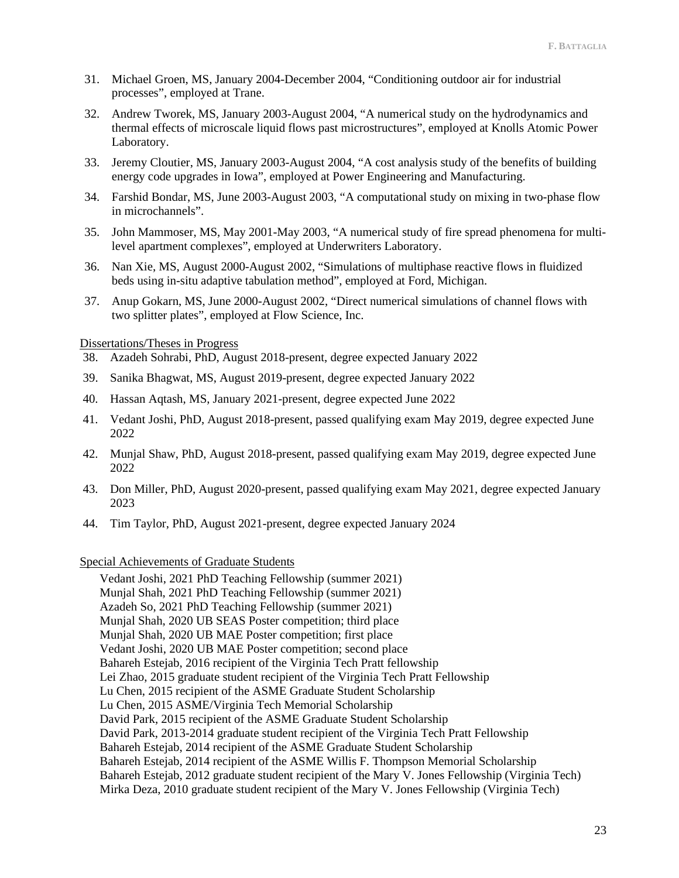- 31. Michael Groen, MS, January 2004-December 2004, "Conditioning outdoor air for industrial processes", employed at Trane.
- 32. Andrew Tworek, MS, January 2003-August 2004, "A numerical study on the hydrodynamics and thermal effects of microscale liquid flows past microstructures", employed at Knolls Atomic Power Laboratory.
- 33. Jeremy Cloutier, MS, January 2003-August 2004, "A cost analysis study of the benefits of building energy code upgrades in Iowa", employed at Power Engineering and Manufacturing.
- 34. Farshid Bondar, MS, June 2003-August 2003, "A computational study on mixing in two-phase flow in microchannels".
- 35. John Mammoser, MS, May 2001-May 2003, "A numerical study of fire spread phenomena for multilevel apartment complexes", employed at Underwriters Laboratory.
- 36. Nan Xie, MS, August 2000-August 2002, "Simulations of multiphase reactive flows in fluidized beds using in-situ adaptive tabulation method", employed at Ford, Michigan.
- 37. Anup Gokarn, MS, June 2000-August 2002, "Direct numerical simulations of channel flows with two splitter plates", employed at Flow Science, Inc.

### Dissertations/Theses in Progress

- 38. Azadeh Sohrabi, PhD, August 2018-present, degree expected January 2022
- 39. Sanika Bhagwat, MS, August 2019-present, degree expected January 2022
- 40. Hassan Aqtash, MS, January 2021-present, degree expected June 2022
- 41. Vedant Joshi, PhD, August 2018-present, passed qualifying exam May 2019, degree expected June 2022
- 42. Munjal Shaw, PhD, August 2018-present, passed qualifying exam May 2019, degree expected June 2022
- 43. Don Miller, PhD, August 2020-present, passed qualifying exam May 2021, degree expected January 2023
- 44. Tim Taylor, PhD, August 2021-present, degree expected January 2024

# Special Achievements of Graduate Students

Vedant Joshi, 2021 PhD Teaching Fellowship (summer 2021) Munjal Shah, 2021 PhD Teaching Fellowship (summer 2021) Azadeh So, 2021 PhD Teaching Fellowship (summer 2021) Munjal Shah, 2020 UB SEAS Poster competition; third place Munjal Shah, 2020 UB MAE Poster competition; first place Vedant Joshi, 2020 UB MAE Poster competition; second place Bahareh Estejab, 2016 recipient of the Virginia Tech Pratt fellowship Lei Zhao, 2015 graduate student recipient of the Virginia Tech Pratt Fellowship Lu Chen, 2015 recipient of the ASME Graduate Student Scholarship Lu Chen, 2015 ASME/Virginia Tech Memorial Scholarship David Park, 2015 recipient of the ASME Graduate Student Scholarship David Park, 2013-2014 graduate student recipient of the Virginia Tech Pratt Fellowship Bahareh Estejab, 2014 recipient of the ASME Graduate Student Scholarship Bahareh Estejab, 2014 recipient of the ASME Willis F. Thompson Memorial Scholarship Bahareh Estejab, 2012 graduate student recipient of the Mary V. Jones Fellowship (Virginia Tech) Mirka Deza, 2010 graduate student recipient of the Mary V. Jones Fellowship (Virginia Tech)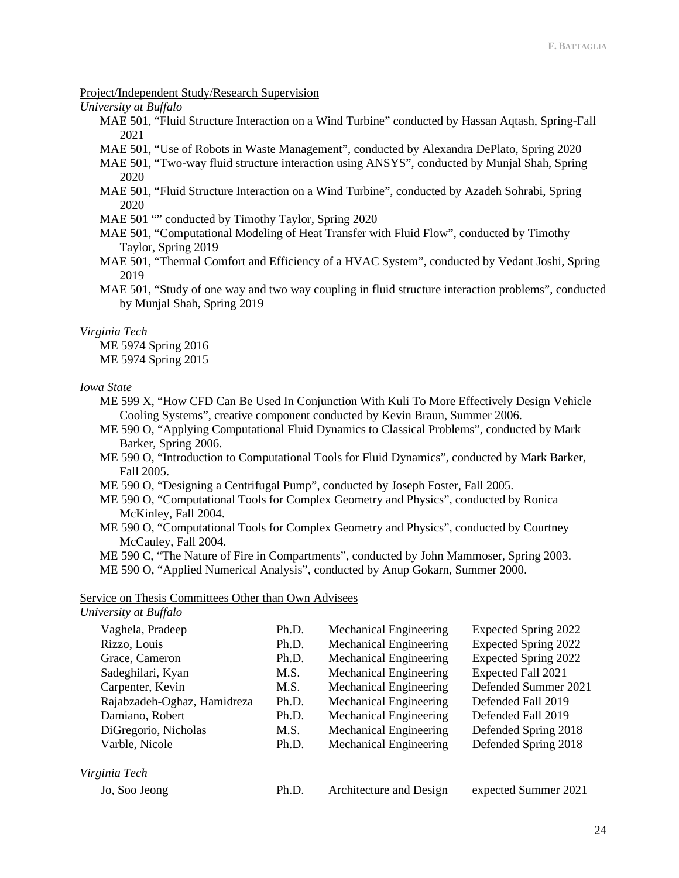#### Project/Independent Study/Research Supervision

*University at Buffalo*

- MAE 501, "Fluid Structure Interaction on a Wind Turbine" conducted by Hassan Aqtash, Spring-Fall 2021
- MAE 501, "Use of Robots in Waste Management", conducted by Alexandra DePlato, Spring 2020
- MAE 501, "Two-way fluid structure interaction using ANSYS", conducted by Munjal Shah, Spring 2020
- MAE 501, "Fluid Structure Interaction on a Wind Turbine", conducted by Azadeh Sohrabi, Spring 2020
- MAE 501 "" conducted by Timothy Taylor, Spring 2020
- MAE 501, "Computational Modeling of Heat Transfer with Fluid Flow", conducted by Timothy Taylor, Spring 2019
- MAE 501, "Thermal Comfort and Efficiency of a HVAC System", conducted by Vedant Joshi, Spring 2019
- MAE 501, "Study of one way and two way coupling in fluid structure interaction problems", conducted by Munjal Shah, Spring 2019

*Virginia Tech*

ME 5974 Spring 2016

ME 5974 Spring 2015

#### *Iowa State*

- ME 599 X, "How CFD Can Be Used In Conjunction With Kuli To More Effectively Design Vehicle Cooling Systems", creative component conducted by Kevin Braun, Summer 2006.
- ME 590 O, "Applying Computational Fluid Dynamics to Classical Problems", conducted by Mark Barker, Spring 2006.
- ME 590 O, "Introduction to Computational Tools for Fluid Dynamics", conducted by Mark Barker, Fall 2005.
- ME 590 O, "Designing a Centrifugal Pump", conducted by Joseph Foster, Fall 2005.
- ME 590 O, "Computational Tools for Complex Geometry and Physics", conducted by Ronica McKinley, Fall 2004.
- ME 590 O, "Computational Tools for Complex Geometry and Physics", conducted by Courtney McCauley, Fall 2004.
- ME 590 C, "The Nature of Fire in Compartments", conducted by John Mammoser, Spring 2003.

ME 590 O, "Applied Numerical Analysis", conducted by Anup Gokarn, Summer 2000.

### Service on Thesis Committees Other than Own Advisees

| University at Buffalo       |       |                               |                             |
|-----------------------------|-------|-------------------------------|-----------------------------|
| Vaghela, Pradeep            | Ph.D. | <b>Mechanical Engineering</b> | Expected Spring 2022        |
| Rizzo, Louis                | Ph.D. | <b>Mechanical Engineering</b> | <b>Expected Spring 2022</b> |
| Grace, Cameron              | Ph.D. | Mechanical Engineering        | <b>Expected Spring 2022</b> |
| Sadeghilari, Kyan           | M.S.  | <b>Mechanical Engineering</b> | Expected Fall 2021          |
| Carpenter, Kevin            | M.S.  | <b>Mechanical Engineering</b> | Defended Summer 2021        |
| Rajabzadeh-Oghaz, Hamidreza | Ph.D. | Mechanical Engineering        | Defended Fall 2019          |
| Damiano, Robert             | Ph.D. | Mechanical Engineering        | Defended Fall 2019          |
| DiGregorio, Nicholas        | M.S.  | Mechanical Engineering        | Defended Spring 2018        |
| Varble, Nicole              | Ph.D. | Mechanical Engineering        | Defended Spring 2018        |
| Virginia Tech               |       |                               |                             |
| Jo, Soo Jeong               | Ph.D. | Architecture and Design       | expected Summer 2021        |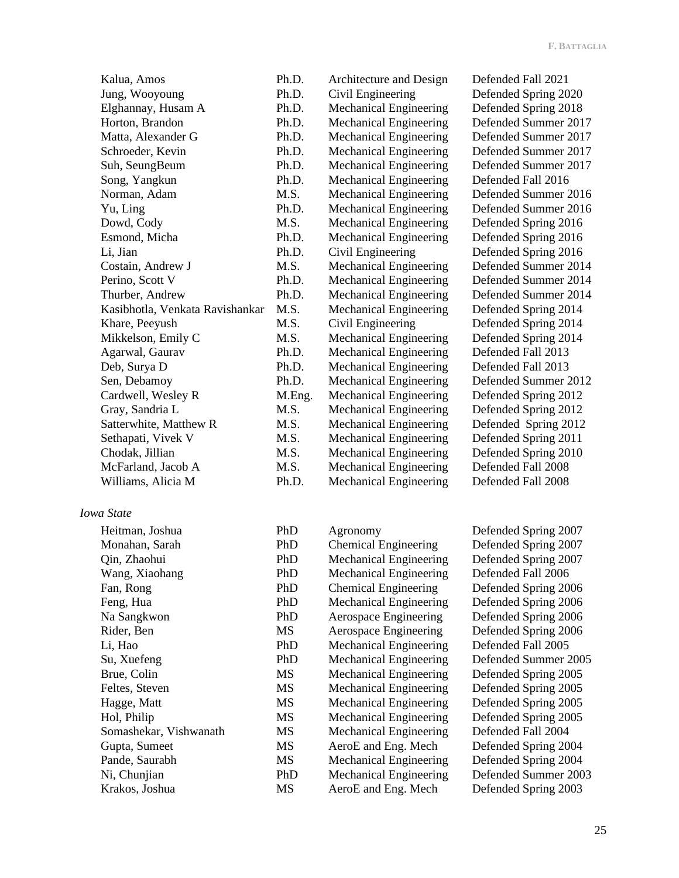Kalua, Amos Ph.D. Architecture and Design Defended Fall 2021 Jung, Wooyoung Ph.D. Civil Engineering Defended Spring 2020 Elghannay, Husam A Ph.D. Mechanical Engineering Defended Spring 2018<br>Horton, Brandon Ph.D. Mechanical Engineering Defended Summer 201 Matta, Alexander G Ph.D. Mechanical Engineering Defended Summer 2017 Schroeder, Kevin Ph.D. Mechanical Engineering Defended Summer 2017 Suh, SeungBeum Ph.D. Mechanical Engineering Defended Summer 2017 Song, Yangkun Ph.D. Mechanical Engineering Defended Fall 2016 Norman, Adam M.S. Mechanical Engineering Defended Summer 2016 Yu, Ling Ph.D. Mechanical Engineering Defended Summer 2016 Dowd, Cody M.S. Mechanical Engineering Defended Spring 2016 Esmond, Micha Ph.D. Mechanical Engineering Defended Spring 2016 Li, Jian Ph.D. Civil Engineering Defended Spring 2016 Costain, Andrew J M.S. Mechanical Engineering Defended Summer 2014 Perino, Scott V Ph.D. Mechanical Engineering Defended Summer 2014 Thurber, Andrew Ph.D. Mechanical Engineering Defended Summer 2014 Kasibhotla, Venkata Ravishankar M.S. Mechanical Engineering Defended Spring 2014 Khare, Peeyush M.S. Civil Engineering Defended Spring 2014 Mikkelson, Emily C M.S. Mechanical Engineering Defended Spring 2014 Agarwal, Gaurav Ph.D. Mechanical Engineering Defended Fall 2013 Deb, Surya D Ph.D. Mechanical Engineering Defended Fall 2013 Sen, Debamoy Ph.D. Mechanical Engineering Defended Summer 2012 Cardwell, Wesley R M.Eng. Mechanical Engineering Defended Spring 2012 Gray, Sandria L M.S. Mechanical Engineering Defended Spring 2012 Satterwhite, Matthew R M.S. Mechanical Engineering Defended Spring 2012 Sethapati, Vivek V M.S. Mechanical Engineering Defended Spring 2011 Chodak, Jillian M.S. Mechanical Engineering Defended Spring 2010 McFarland, Jacob A M.S. Mechanical Engineering Defended Fall 2008 Williams, Alicia M Ph.D. Mechanical Engineering Defended Fall 2008

*Iowa State*

| Heitman, Joshua        | PhD       | Agronomy                      | Defended Spring 2007 |
|------------------------|-----------|-------------------------------|----------------------|
| Monahan, Sarah         | PhD       | <b>Chemical Engineering</b>   | Defended Spring 2007 |
| Qin, Zhaohui           | PhD       | <b>Mechanical Engineering</b> | Defended Spring 2007 |
| Wang, Xiaohang         | PhD       | <b>Mechanical Engineering</b> | Defended Fall 2006   |
| Fan, Rong              | PhD       | <b>Chemical Engineering</b>   | Defended Spring 2006 |
| Feng, Hua              | PhD       | <b>Mechanical Engineering</b> | Defended Spring 2006 |
| Na Sangkwon            | PhD       | Aerospace Engineering         | Defended Spring 2006 |
| Rider, Ben             | MS        | Aerospace Engineering         | Defended Spring 2006 |
| Li, Hao                | PhD       | <b>Mechanical Engineering</b> | Defended Fall 2005   |
| Su, Xuefeng            | PhD       | <b>Mechanical Engineering</b> | Defended Summer 2005 |
| Brue, Colin            | <b>MS</b> | Mechanical Engineering        | Defended Spring 2005 |
| Feltes, Steven         | MS        | <b>Mechanical Engineering</b> | Defended Spring 2005 |
| Hagge, Matt            | MS        | <b>Mechanical Engineering</b> | Defended Spring 2005 |
| Hol, Philip            | MS        | <b>Mechanical Engineering</b> | Defended Spring 2005 |
| Somashekar, Vishwanath | MS        | <b>Mechanical Engineering</b> | Defended Fall 2004   |
| Gupta, Sumeet          | MS        | AeroE and Eng. Mech           | Defended Spring 2004 |
| Pande, Saurabh         | MS        | <b>Mechanical Engineering</b> | Defended Spring 2004 |
| Ni, Chunjian           | PhD       | <b>Mechanical Engineering</b> | Defended Summer 2003 |
| Krakos, Joshua         | MS        | AeroE and Eng. Mech           | Defended Spring 2003 |

Ph.D. Mechanical Engineering Defended Summer 2017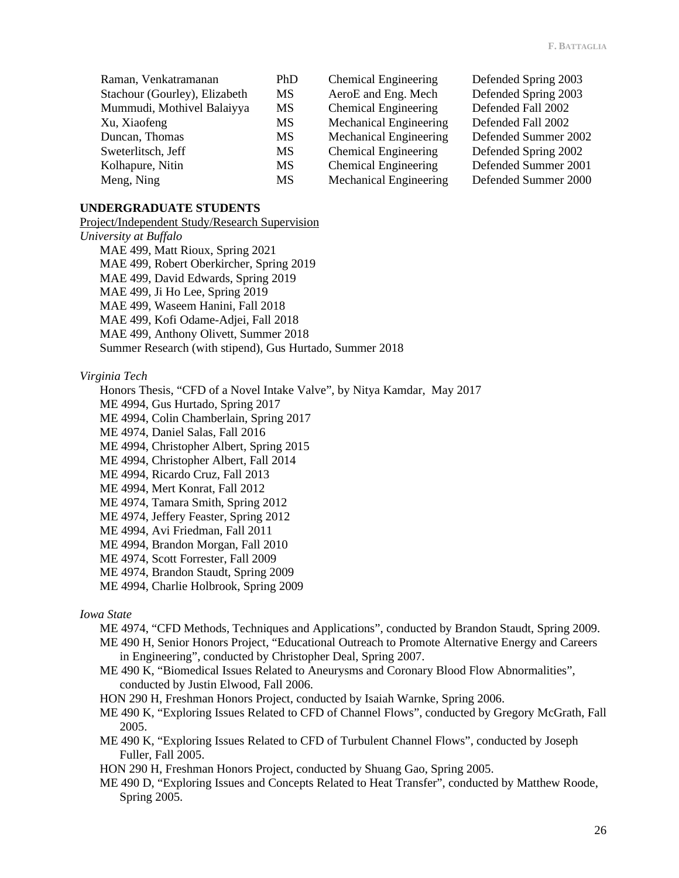| Raman, Venkatramanan          | <b>PhD</b> | Chemical Engineering          | Defended Spring 2003 |
|-------------------------------|------------|-------------------------------|----------------------|
| Stachour (Gourley), Elizabeth | MS.        | AeroE and Eng. Mech           | Defended Spring 2003 |
| Mummudi, Mothivel Balaiyya    | <b>MS</b>  | <b>Chemical Engineering</b>   | Defended Fall 2002   |
| Xu, Xiaofeng                  | MS.        | <b>Mechanical Engineering</b> | Defended Fall 2002   |
| Duncan, Thomas                | MS.        | <b>Mechanical Engineering</b> | Defended Summer 2002 |
| Sweterlitsch, Jeff            | MS.        | <b>Chemical Engineering</b>   | Defended Spring 2002 |
| Kolhapure, Nitin              | <b>MS</b>  | <b>Chemical Engineering</b>   | Defended Summer 2001 |
| Meng, Ning                    | MS.        | <b>Mechanical Engineering</b> | Defended Summer 2000 |

# **UNDERGRADUATE STUDENTS**

Project/Independent Study/Research Supervision *University at Buffalo*

MAE 499, Matt Rioux, Spring 2021 MAE 499, Robert Oberkircher, Spring 2019 MAE 499, David Edwards, Spring 2019 MAE 499, Ji Ho Lee, Spring 2019 MAE 499, Waseem Hanini, Fall 2018 MAE 499, Kofi Odame-Adjei, Fall 2018 MAE 499, Anthony Olivett, Summer 2018 Summer Research (with stipend), Gus Hurtado, Summer 2018

### *Virginia Tech*

Honors Thesis, "CFD of a Novel Intake Valve", by Nitya Kamdar, May 2017

ME 4994, Gus Hurtado, Spring 2017

ME 4994, Colin Chamberlain, Spring 2017

ME 4974, Daniel Salas, Fall 2016

ME 4994, Christopher Albert, Spring 2015

ME 4994, Christopher Albert, Fall 2014

ME 4994, Ricardo Cruz, Fall 2013

ME 4994, Mert Konrat, Fall 2012

ME 4974, Tamara Smith, Spring 2012

ME 4974, Jeffery Feaster, Spring 2012

ME 4994, Avi Friedman, Fall 2011

ME 4994, Brandon Morgan, Fall 2010

ME 4974, Scott Forrester, Fall 2009

ME 4974, Brandon Staudt, Spring 2009

ME 4994, Charlie Holbrook, Spring 2009

# *Iowa State*

ME 4974, "CFD Methods, Techniques and Applications", conducted by Brandon Staudt, Spring 2009.

ME 490 H, Senior Honors Project, "Educational Outreach to Promote Alternative Energy and Careers in Engineering", conducted by Christopher Deal, Spring 2007.

ME 490 K, "Biomedical Issues Related to Aneurysms and Coronary Blood Flow Abnormalities", conducted by Justin Elwood, Fall 2006.

HON 290 H, Freshman Honors Project, conducted by Isaiah Warnke, Spring 2006.

ME 490 K, "Exploring Issues Related to CFD of Channel Flows", conducted by Gregory McGrath, Fall 2005.

ME 490 K, "Exploring Issues Related to CFD of Turbulent Channel Flows", conducted by Joseph Fuller, Fall 2005.

HON 290 H, Freshman Honors Project, conducted by Shuang Gao, Spring 2005.

ME 490 D, "Exploring Issues and Concepts Related to Heat Transfer", conducted by Matthew Roode, Spring 2005.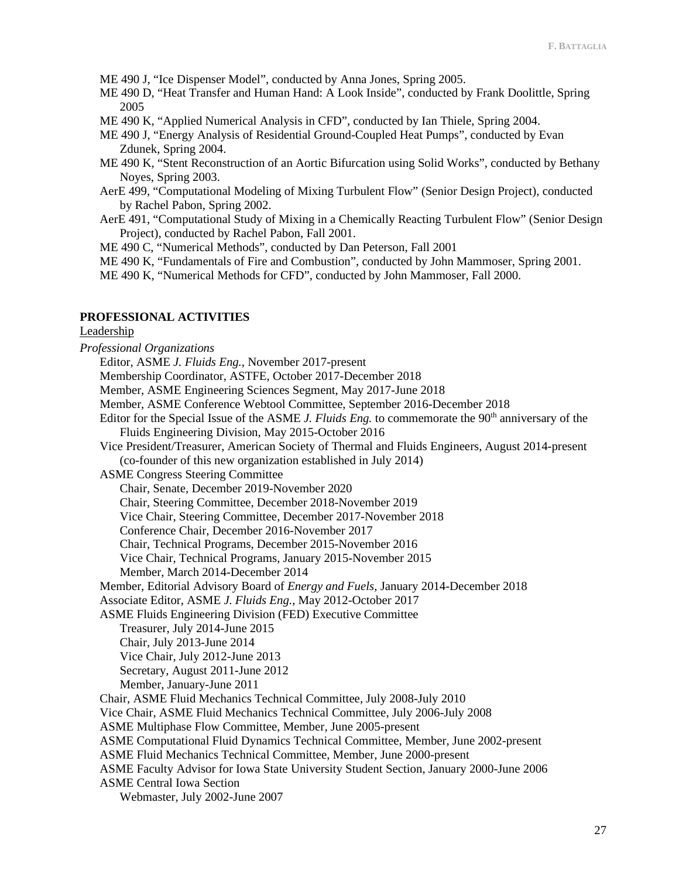ME 490 J, "Ice Dispenser Model", conducted by Anna Jones, Spring 2005.

- ME 490 D, "Heat Transfer and Human Hand: A Look Inside", conducted by Frank Doolittle, Spring 2005
- ME 490 K, "Applied Numerical Analysis in CFD", conducted by Ian Thiele, Spring 2004.
- ME 490 J, "Energy Analysis of Residential Ground-Coupled Heat Pumps", conducted by Evan Zdunek, Spring 2004.
- ME 490 K, "Stent Reconstruction of an Aortic Bifurcation using Solid Works", conducted by Bethany Noyes, Spring 2003.
- AerE 499, "Computational Modeling of Mixing Turbulent Flow" (Senior Design Project), conducted by Rachel Pabon, Spring 2002.
- AerE 491, "Computational Study of Mixing in a Chemically Reacting Turbulent Flow" (Senior Design Project), conducted by Rachel Pabon, Fall 2001.
- ME 490 C, "Numerical Methods", conducted by Dan Peterson, Fall 2001
- ME 490 K, "Fundamentals of Fire and Combustion", conducted by John Mammoser, Spring 2001.
- ME 490 K, "Numerical Methods for CFD", conducted by John Mammoser, Fall 2000.

# **PROFESSIONAL ACTIVITIES**

# Leadership

*Professional Organizations* Editor, ASME *J. Fluids Eng.*, November 2017-present Membership Coordinator, ASTFE, October 2017-December 2018 Member, ASME Engineering Sciences Segment, May 2017-June 2018 Member, ASME Conference Webtool Committee, September 2016-December 2018 Editor for the Special Issue of the ASME *J. Fluids Eng.* to commemorate the 90<sup>th</sup> anniversary of the Fluids Engineering Division, May 2015-October 2016 Vice President/Treasurer, American Society of Thermal and Fluids Engineers, August 2014-present (co-founder of this new organization established in July 2014) ASME Congress Steering Committee Chair, Senate, December 2019-November 2020 Chair, Steering Committee, December 2018-November 2019 Vice Chair, Steering Committee, December 2017-November 2018 Conference Chair, December 2016-November 2017 Chair, Technical Programs, December 2015-November 2016 Vice Chair, Technical Programs, January 2015-November 2015 Member, March 2014-December 2014 Member, Editorial Advisory Board of *Energy and Fuels*, January 2014-December 2018 Associate Editor, ASME *J. Fluids Eng.*, May 2012-October 2017 ASME Fluids Engineering Division (FED) Executive Committee Treasurer, July 2014-June 2015 Chair, July 2013-June 2014 Vice Chair, July 2012-June 2013 Secretary, August 2011-June 2012 Member, January-June 2011 Chair, ASME Fluid Mechanics Technical Committee, July 2008-July 2010 Vice Chair, ASME Fluid Mechanics Technical Committee, July 2006-July 2008 ASME Multiphase Flow Committee, Member, June 2005-present ASME Computational Fluid Dynamics Technical Committee, Member, June 2002-present ASME Fluid Mechanics Technical Committee, Member, June 2000-present ASME Faculty Advisor for Iowa State University Student Section, January 2000-June 2006 ASME Central Iowa Section Webmaster, July 2002-June 2007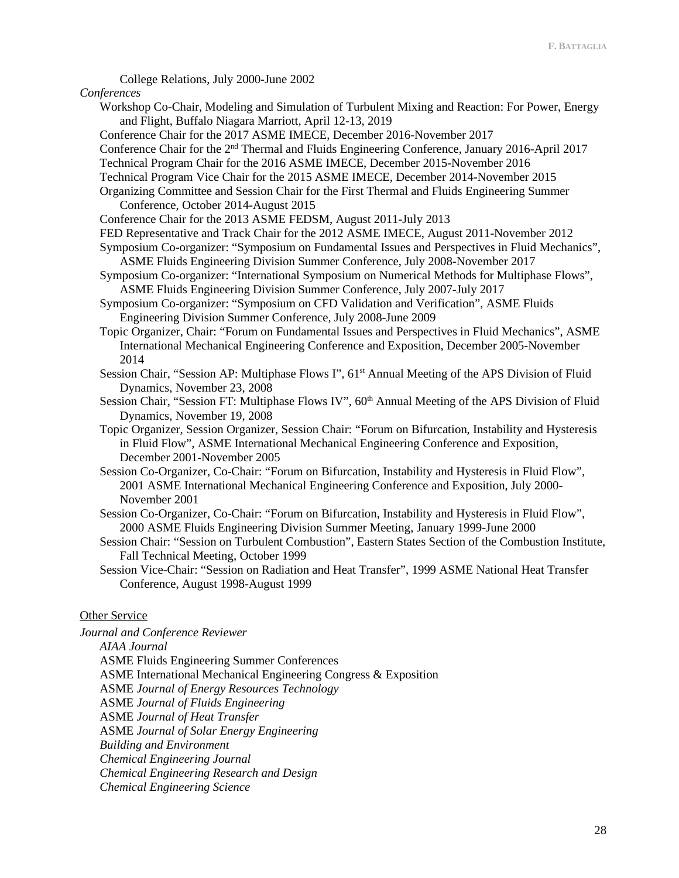College Relations, July 2000-June 2002

#### *Conferences*

- Workshop Co-Chair, Modeling and Simulation of Turbulent Mixing and Reaction: For Power, Energy and Flight, Buffalo Niagara Marriott, April 12-13, 2019
- Conference Chair for the 2017 ASME IMECE, December 2016-November 2017
- Conference Chair for the  $2<sup>nd</sup>$  Thermal and Fluids Engineering Conference, January 2016-April 2017
- Technical Program Chair for the 2016 ASME IMECE, December 2015-November 2016
- Technical Program Vice Chair for the 2015 ASME IMECE, December 2014-November 2015
- Organizing Committee and Session Chair for the First Thermal and Fluids Engineering Summer Conference, October 2014-August 2015
- Conference Chair for the 2013 ASME FEDSM, August 2011-July 2013
- FED Representative and Track Chair for the 2012 ASME IMECE, August 2011-November 2012
- Symposium Co-organizer: "Symposium on Fundamental Issues and Perspectives in Fluid Mechanics", ASME Fluids Engineering Division Summer Conference, July 2008-November 2017
- Symposium Co-organizer: "International Symposium on Numerical Methods for Multiphase Flows", ASME Fluids Engineering Division Summer Conference, July 2007-July 2017
- Symposium Co-organizer: "Symposium on CFD Validation and Verification", ASME Fluids Engineering Division Summer Conference, July 2008-June 2009
- Topic Organizer, Chair: "Forum on Fundamental Issues and Perspectives in Fluid Mechanics", ASME International Mechanical Engineering Conference and Exposition, December 2005-November 2014
- Session Chair, "Session AP: Multiphase Flows I", 61<sup>st</sup> Annual Meeting of the APS Division of Fluid Dynamics, November 23, 2008
- Session Chair, "Session FT: Multiphase Flows IV", 60<sup>th</sup> Annual Meeting of the APS Division of Fluid Dynamics, November 19, 2008
- Topic Organizer, Session Organizer, Session Chair: "Forum on Bifurcation, Instability and Hysteresis in Fluid Flow", ASME International Mechanical Engineering Conference and Exposition, December 2001-November 2005
- Session Co-Organizer, Co-Chair: "Forum on Bifurcation, Instability and Hysteresis in Fluid Flow", 2001 ASME International Mechanical Engineering Conference and Exposition, July 2000- November 2001
- Session Co-Organizer, Co-Chair: "Forum on Bifurcation, Instability and Hysteresis in Fluid Flow", 2000 ASME Fluids Engineering Division Summer Meeting, January 1999-June 2000
- Session Chair: "Session on Turbulent Combustion", Eastern States Section of the Combustion Institute, Fall Technical Meeting, October 1999
- Session Vice-Chair: "Session on Radiation and Heat Transfer", 1999 ASME National Heat Transfer Conference, August 1998-August 1999

## Other Service

*Journal and Conference Reviewer*

*AIAA Journal* ASME Fluids Engineering Summer Conferences ASME International Mechanical Engineering Congress & Exposition ASME *Journal of Energy Resources Technology*  ASME *Journal of Fluids Engineering* ASME *Journal of Heat Transfer* ASME *Journal of Solar Energy Engineering Building and Environment Chemical Engineering Journal Chemical Engineering Research and Design Chemical Engineering Science*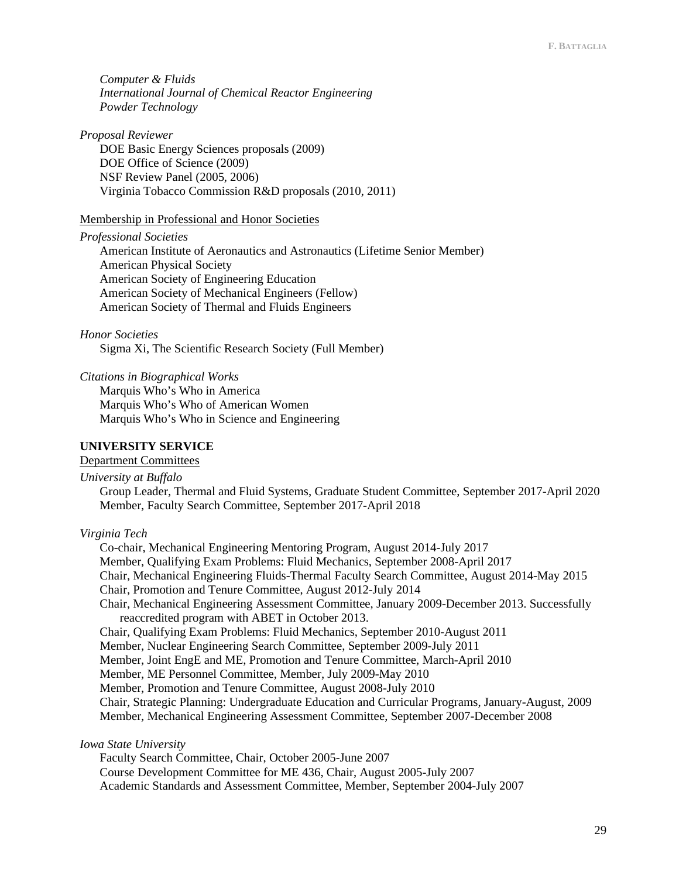*Computer & Fluids International Journal of Chemical Reactor Engineering Powder Technology*

*Proposal Reviewer* DOE Basic Energy Sciences proposals (2009) DOE Office of Science (2009) NSF Review Panel (2005, 2006) Virginia Tobacco Commission R&D proposals (2010, 2011)

#### Membership in Professional and Honor Societies

*Professional Societies*

American Institute of Aeronautics and Astronautics (Lifetime Senior Member) American Physical Society American Society of Engineering Education American Society of Mechanical Engineers (Fellow) American Society of Thermal and Fluids Engineers

#### *Honor Societies*

Sigma Xi, The Scientific Research Society (Full Member)

*Citations in Biographical Works*

Marquis Who's Who in America Marquis Who's Who of American Women Marquis Who's Who in Science and Engineering

# **UNIVERSITY SERVICE**

### Department Committees

*University at Buffalo*

Group Leader, Thermal and Fluid Systems, Graduate Student Committee, September 2017-April 2020 Member, Faculty Search Committee, September 2017-April 2018

#### *Virginia Tech*

Co-chair, Mechanical Engineering Mentoring Program, August 2014-July 2017 Member, Qualifying Exam Problems: Fluid Mechanics, September 2008-April 2017 Chair, Mechanical Engineering Fluids-Thermal Faculty Search Committee, August 2014-May 2015 Chair, Promotion and Tenure Committee, August 2012-July 2014 Chair, Mechanical Engineering Assessment Committee, January 2009-December 2013. Successfully reaccredited program with ABET in October 2013. Chair, Qualifying Exam Problems: Fluid Mechanics, September 2010-August 2011 Member, Nuclear Engineering Search Committee, September 2009-July 2011 Member, Joint EngE and ME, Promotion and Tenure Committee, March-April 2010 Member, ME Personnel Committee, Member, July 2009-May 2010 Member, Promotion and Tenure Committee, August 2008-July 2010 Chair, Strategic Planning: Undergraduate Education and Curricular Programs, January-August, 2009 Member, Mechanical Engineering Assessment Committee, September 2007-December 2008

*Iowa State University*

Faculty Search Committee, Chair, October 2005-June 2007 Course Development Committee for ME 436, Chair, August 2005-July 2007 Academic Standards and Assessment Committee, Member, September 2004-July 2007